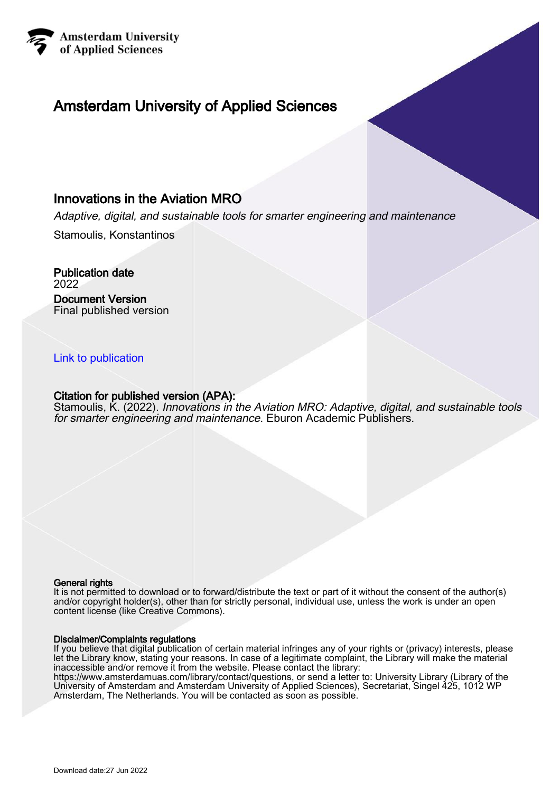

# Amsterdam University of Applied Sciences

# Innovations in the Aviation MRO

Adaptive, digital, and sustainable tools for smarter engineering and maintenance

Stamoulis, Konstantinos

Publication date 2022 Document Version Final published version

## [Link to publication](https://research.hva.nl/en/publications/d27f4b3d-b321-44b3-8ec2-a4b06212971d)

## Citation for published version (APA):

Stamoulis, K. (2022). Innovations in the Aviation MRO: Adaptive, digital, and sustainable tools for smarter engineering and maintenance. Eburon Academic Publishers.

#### General rights

It is not permitted to download or to forward/distribute the text or part of it without the consent of the author(s) and/or copyright holder(s), other than for strictly personal, individual use, unless the work is under an open content license (like Creative Commons).

#### Disclaimer/Complaints regulations

If you believe that digital publication of certain material infringes any of your rights or (privacy) interests, please let the Library know, stating your reasons. In case of a legitimate complaint, the Library will make the material inaccessible and/or remove it from the website. Please contact the library:

https://www.amsterdamuas.com/library/contact/questions, or send a letter to: University Library (Library of the University of Amsterdam and Amsterdam University of Applied Sciences), Secretariat, Singel 425, 1012 WP Amsterdam, The Netherlands. You will be contacted as soon as possible.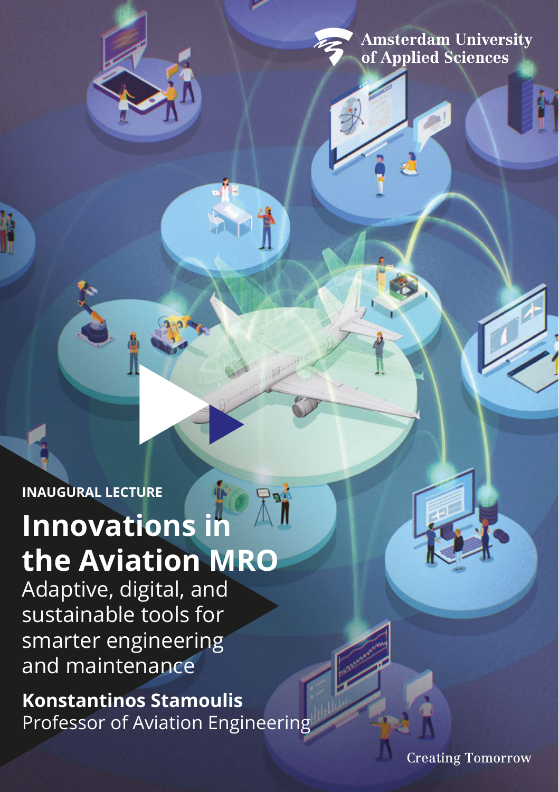**Amsterdam University** of Applied Sciences

**INAUGURAL LECTURE**

# **Innovations in the Aviation MRO**

Adaptive, digital, and sustainable tools for smarter engineering and maintenance

# **Konstantinos Stamoulis**

Professor of Aviation Engineering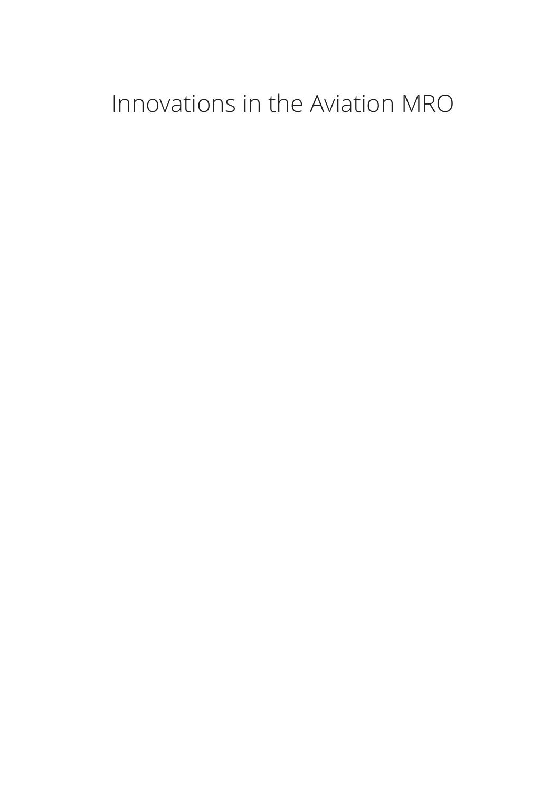# Innovations in the Aviation MRO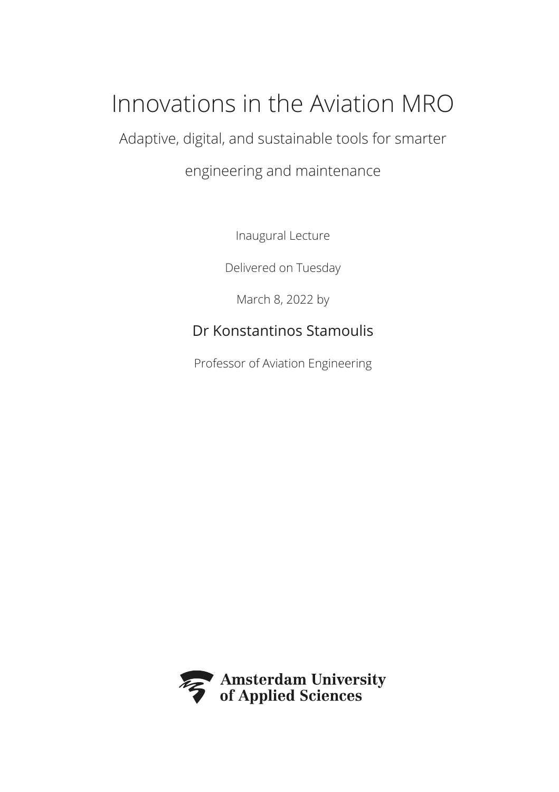# Innovations in the Aviation MRO

Adaptive, digital, and sustainable tools for smarter

## engineering and maintenance

Inaugural Lecture

Delivered on Tuesday

March 8, 2022 by

## Dr Konstantinos Stamoulis

Professor of Aviation Engineering

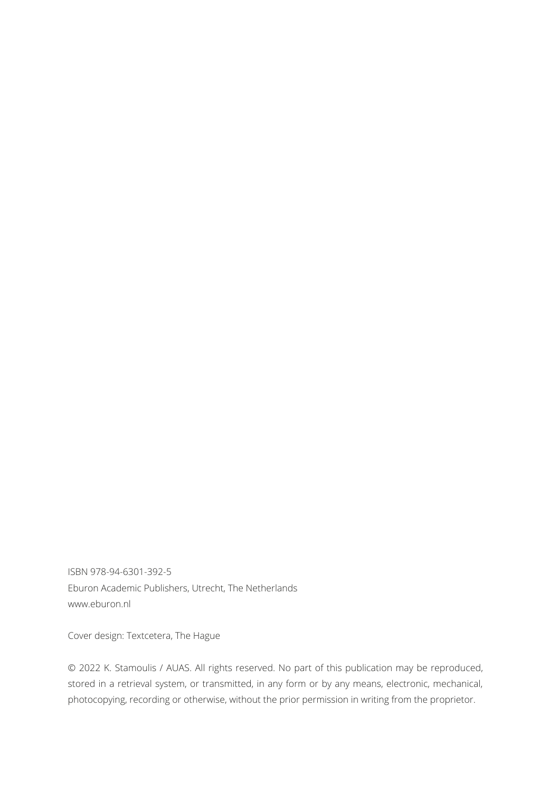ISBN 978-94-6301-392-5 Eburon Academic Publishers, Utrecht, The Netherlands www.eburon.nl

Cover design: Textcetera, The Hague

© 2022 K. Stamoulis / AUAS. All rights reserved. No part of this publication may be reproduced, stored in a retrieval system, or transmitted, in any form or by any means, electronic, mechanical, photocopying, recording or otherwise, without the prior permission in writing from the proprietor.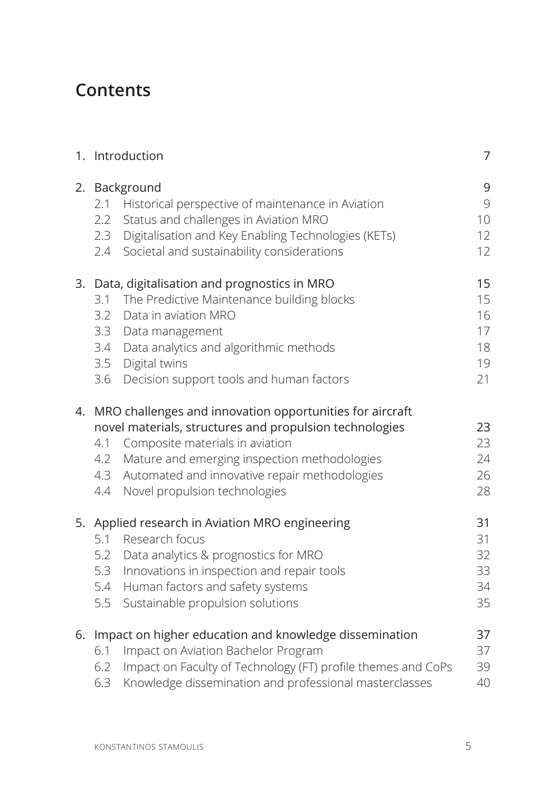# **Contents**

|    | 1. Introduction                                                                                                                                                                                                                                                                                                         | 7                                      |
|----|-------------------------------------------------------------------------------------------------------------------------------------------------------------------------------------------------------------------------------------------------------------------------------------------------------------------------|----------------------------------------|
|    | 2. Background<br>2.1<br>Historical perspective of maintenance in Aviation<br>2.2<br>Status and challenges in Aviation MRO<br>Digitalisation and Key Enabling Technologies (KETs)<br>2.3<br>Societal and sustainability considerations<br>2.4                                                                            | 9<br>9<br>10<br>12<br>12               |
|    | 3. Data, digitalisation and prognostics in MRO<br>The Predictive Maintenance building blocks<br>3.1<br>3.2<br>Data in aviation MRO<br>3.3<br>Data management<br>Data analytics and algorithmic methods<br>3.4<br>3.5<br>Digital twins<br>3.6<br>Decision support tools and human factors                                | 15<br>15<br>16<br>17<br>18<br>19<br>21 |
|    | 4. MRO challenges and innovation opportunities for aircraft<br>novel materials, structures and propulsion technologies<br>Composite materials in aviation<br>4.1<br>Mature and emerging inspection methodologies<br>4.2<br>Automated and innovative repair methodologies<br>4.3<br>Novel propulsion technologies<br>4.4 | 23<br>23<br>24<br>26<br>28             |
| 5. | Applied research in Aviation MRO engineering<br>5.1<br>Research focus<br>5.2<br>Data analytics & prognostics for MRO<br>5.3<br>Innovations in inspection and repair tools<br>5.4<br>Human factors and safety systems<br>5.5<br>Sustainable propulsion solutions                                                         | 31<br>31<br>32<br>33<br>34<br>35       |
| 6. | Impact on higher education and knowledge dissemination<br>Impact on Aviation Bachelor Program<br>6.1<br>Impact on Faculty of Technology (FT) profile themes and CoPs<br>6.2<br>Knowledge dissemination and professional masterclasses<br>6.3                                                                            | 37<br>37<br>39<br>40                   |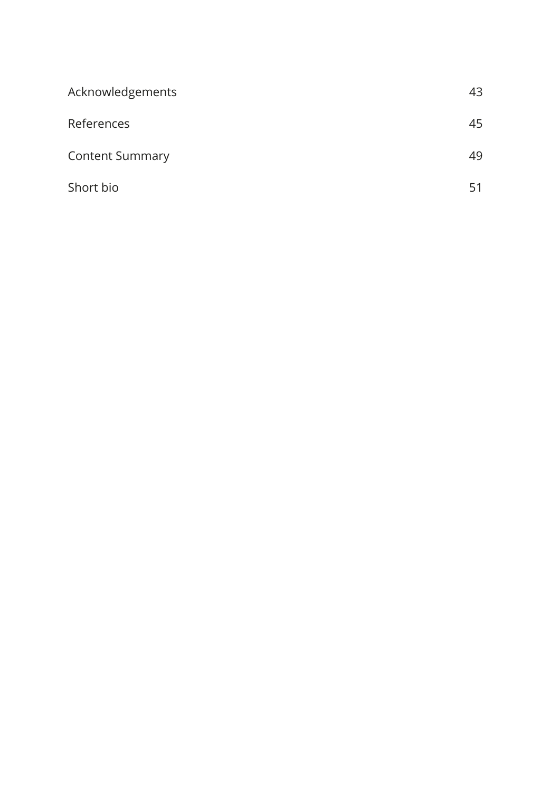| Acknowledgements       | 43 |
|------------------------|----|
| References             | 45 |
| <b>Content Summary</b> | 49 |
| Short bio              | 51 |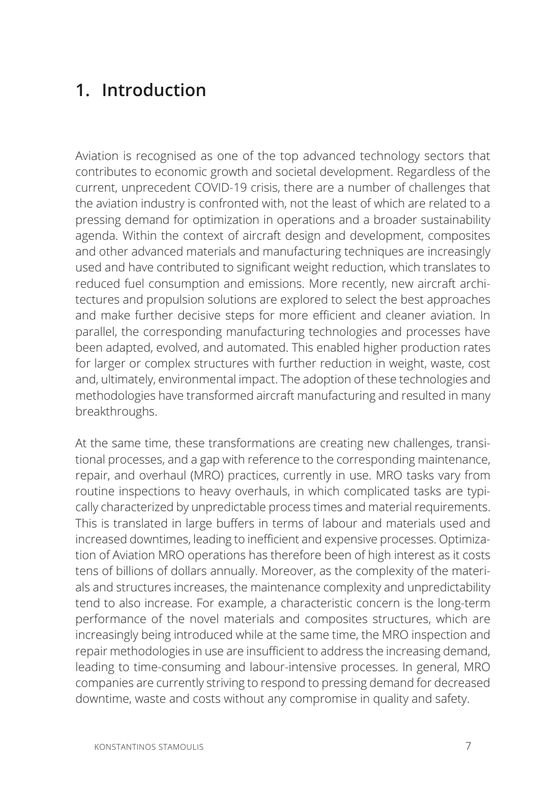# **1. Introduction**

Aviation is recognised as one of the top advanced technology sectors that contributes to economic growth and societal development. Regardless of the current, unprecedent COVID-19 crisis, there are a number of challenges that the aviation industry is confronted with, not the least of which are related to a pressing demand for optimization in operations and a broader sustainability agenda. Within the context of aircraft design and development, composites and other advanced materials and manufacturing techniques are increasingly used and have contributed to significant weight reduction, which translates to reduced fuel consumption and emissions. More recently, new aircraft architectures and propulsion solutions are explored to select the best approaches and make further decisive steps for more efficient and cleaner aviation. In parallel, the corresponding manufacturing technologies and processes have been adapted, evolved, and automated. This enabled higher production rates for larger or complex structures with further reduction in weight, waste, cost and, ultimately, environmental impact. The adoption of these technologies and methodologies have transformed aircraft manufacturing and resulted in many breakthroughs.

At the same time, these transformations are creating new challenges, transitional processes, and a gap with reference to the corresponding maintenance, repair, and overhaul (MRO) practices, currently in use. MRO tasks vary from routine inspections to heavy overhauls, in which complicated tasks are typically characterized by unpredictable process times and material requirements. This is translated in large buffers in terms of labour and materials used and increased downtimes, leading to inefficient and expensive processes. Optimization of Aviation MRO operations has therefore been of high interest as it costs tens of billions of dollars annually. Moreover, as the complexity of the materials and structures increases, the maintenance complexity and unpredictability tend to also increase. For example, a characteristic concern is the long-term performance of the novel materials and composites structures, which are increasingly being introduced while at the same time, the MRO inspection and repair methodologies in use are insufficient to address the increasing demand, leading to time-consuming and labour-intensive processes. In general, MRO companies are currently striving to respond to pressing demand for decreased downtime, waste and costs without any compromise in quality and safety.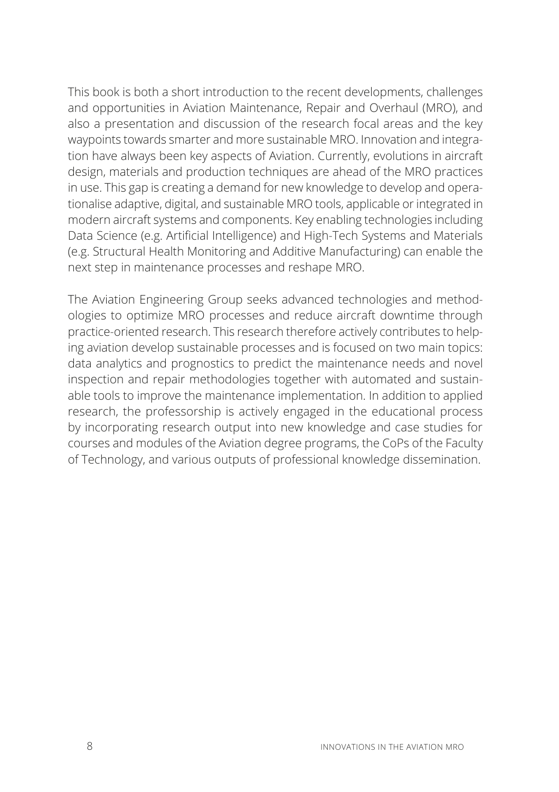This book is both a short introduction to the recent developments, challenges and opportunities in Aviation Maintenance, Repair and Overhaul (MRO), and also a presentation and discussion of the research focal areas and the key waypoints towards smarter and more sustainable MRO. Innovation and integration have always been key aspects of Aviation. Currently, evolutions in aircraft design, materials and production techniques are ahead of the MRO practices in use. This gap is creating a demand for new knowledge to develop and operationalise adaptive, digital, and sustainable MRO tools, applicable or integrated in modern aircraft systems and components. Key enabling technologies including Data Science (e.g. Artificial Intelligence) and High-Tech Systems and Materials (e.g. Structural Health Monitoring and Additive Manufacturing) can enable the next step in maintenance processes and reshape MRO.

The Aviation Engineering Group seeks advanced technologies and methodologies to optimize MRO processes and reduce aircraft downtime through practice-oriented research. This research therefore actively contributes to helping aviation develop sustainable processes and is focused on two main topics: data analytics and prognostics to predict the maintenance needs and novel inspection and repair methodologies together with automated and sustainable tools to improve the maintenance implementation. In addition to applied research, the professorship is actively engaged in the educational process by incorporating research output into new knowledge and case studies for courses and modules of the Aviation degree programs, the CoPs of the Faculty of Technology, and various outputs of professional knowledge dissemination.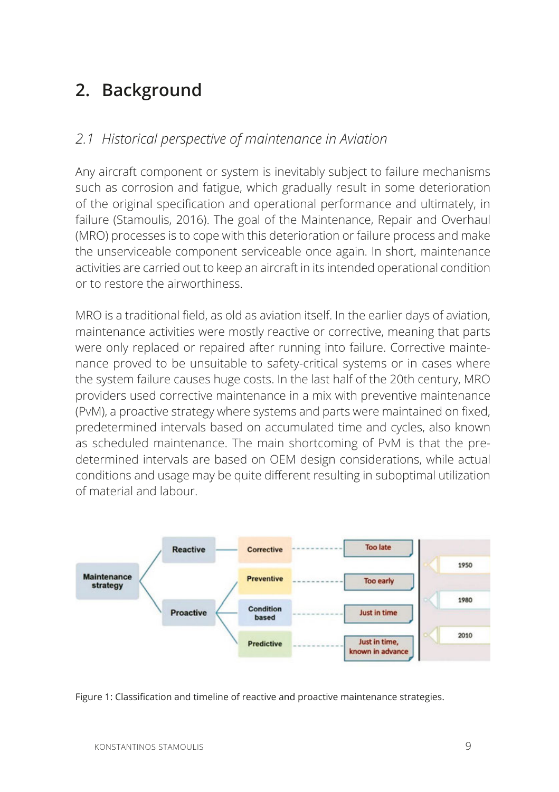# **2. Background**

#### *2.1 Historical perspective of maintenance in Aviation*

Any aircraft component or system is inevitably subject to failure mechanisms such as corrosion and fatigue, which gradually result in some deterioration of the original specification and operational performance and ultimately, in failure (Stamoulis, 2016). The goal of the Maintenance, Repair and Overhaul (MRO) processes is to cope with this deterioration or failure process and make the unserviceable component serviceable once again. In short, maintenance activities are carried out to keep an aircraft in its intended operational condition or to restore the airworthiness.

MRO is a traditional field, as old as aviation itself. In the earlier days of aviation, maintenance activities were mostly reactive or corrective, meaning that parts were only replaced or repaired after running into failure. Corrective maintenance proved to be unsuitable to safety-critical systems or in cases where the system failure causes huge costs. In the last half of the 20th century, MRO providers used corrective maintenance in a mix with preventive maintenance (PvM), a proactive strategy where systems and parts were maintained on fixed, predetermined intervals based on accumulated time and cycles, also known as scheduled maintenance. The main shortcoming of PvM is that the predetermined intervals are based on OEM design considerations, while actual conditions and usage may be quite different resulting in suboptimal utilization of material and labour.



Figure 1: Classification and timeline of reactive and proactive maintenance strategies.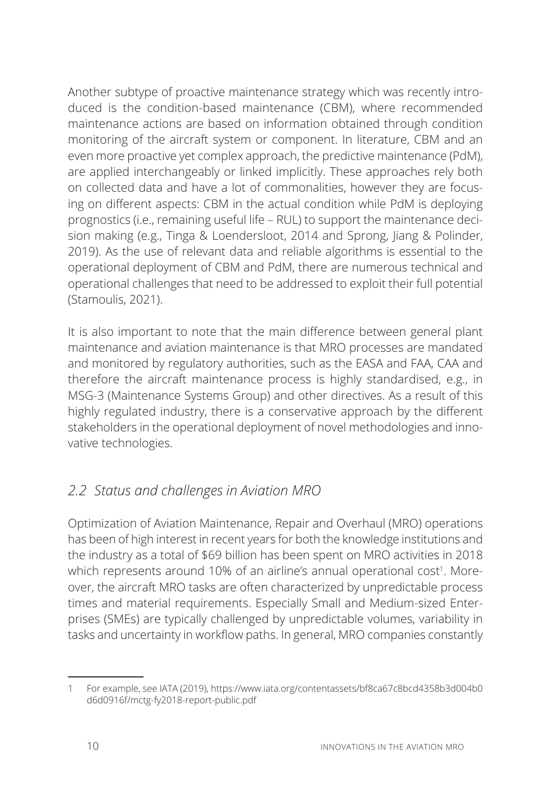Another subtype of proactive maintenance strategy which was recently introduced is the condition-based maintenance (CBM), where recommended maintenance actions are based on information obtained through condition monitoring of the aircraft system or component. In literature, CBM and an even more proactive yet complex approach, the predictive maintenance (PdM), are applied interchangeably or linked implicitly. These approaches rely both on collected data and have a lot of commonalities, however they are focusing on different aspects: CBM in the actual condition while PdM is deploying prognostics (i.e., remaining useful life – RUL) to support the maintenance decision making (e.g., Tinga & Loendersloot, 2014 and Sprong, Jiang & Polinder, 2019). As the use of relevant data and reliable algorithms is essential to the operational deployment of CBM and PdM, there are numerous technical and operational challenges that need to be addressed to exploit their full potential (Stamoulis, 2021).

It is also important to note that the main difference between general plant maintenance and aviation maintenance is that MRO processes are mandated and monitored by regulatory authorities, such as the EASA and FAA, CAA and therefore the aircraft maintenance process is highly standardised, e.g., in MSG-3 (Maintenance Systems Group) and other directives. As a result of this highly regulated industry, there is a conservative approach by the different stakeholders in the operational deployment of novel methodologies and innovative technologies.

## *2.2 Status and challenges in Aviation MRO*

Optimization of Aviation Maintenance, Repair and Overhaul (MRO) operations has been of high interest in recent years for both the knowledge institutions and the industry as a total of \$69 billion has been spent on MRO activities in 2018 which represents around 10% of an airline's annual operational cost<sup>1</sup>. Moreover, the aircraft MRO tasks are often characterized by unpredictable process times and material requirements. Especially Small and Medium-sized Enterprises (SMEs) are typically challenged by unpredictable volumes, variability in tasks and uncertainty in workflow paths. In general, MRO companies constantly

<sup>1</sup> For example, see IATA (2019), https://www.iata.org/contentassets/bf8ca67c8bcd4358b3d004b0 d 6d0916f/mctg-fy2018-report-public.pdf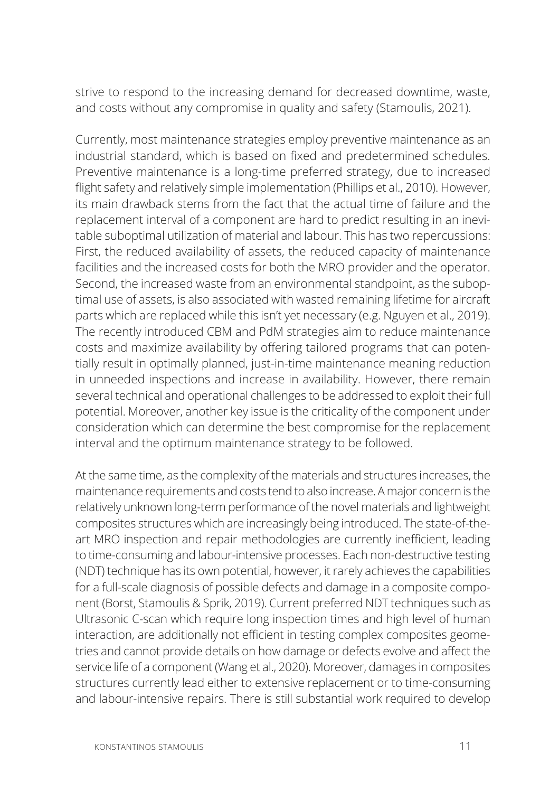strive to respond to the increasing demand for decreased downtime, waste, and costs without any compromise in quality and safety (Stamoulis, 2021).

Currently, most maintenance strategies employ preventive maintenance as an industrial standard, which is based on fixed and predetermined schedules. Preventive maintenance is a long-time preferred strategy, due to increased flight safety and relatively simple implementation (Phillips et al., 2010). However, its main drawback stems from the fact that the actual time of failure and the replacement interval of a component are hard to predict resulting in an inevitable suboptimal utilization of material and labour. This has two repercussions: First, the reduced availability of assets, the reduced capacity of maintenance facilities and the increased costs for both the MRO provider and the operator. Second, the increased waste from an environmental standpoint, as the suboptimal use of assets, is also associated with wasted remaining lifetime for aircraft parts which are replaced while this isn't yet necessary (e.g. Nguyen et al., 2019). The recently introduced CBM and PdM strategies aim to reduce maintenance costs and maximize availability by offering tailored programs that can potentially result in optimally planned, just-in-time maintenance meaning reduction in unneeded inspections and increase in availability. However, there remain several technical and operational challenges to be addressed to exploit their full potential. Moreover, another key issue is the criticality of the component under consideration which can determine the best compromise for the replacement interval and the optimum maintenance strategy to be followed.

At the same time, as the complexity of the materials and structures increases, the maintenance requirements and costs tend to also increase. A major concern is the relatively unknown long-term performance of the novel materials and lightweight composites structures which are increasingly being introduced. The state-of-theart MRO inspection and repair methodologies are currently inefficient, leading to time-consuming and labour-intensive processes. Each non-destructive testing (NDT) technique has its own potential, however, it rarely achieves the capabilities for a full-scale diagnosis of possible defects and damage in a composite component (Borst, Stamoulis & Sprik, 2019). Current preferred NDT techniques such as Ultrasonic C-scan which require long inspection times and high level of human interaction, are additionally not efficient in testing complex composites geometries and cannot provide details on how damage or defects evolve and affect the service life of a component (Wang et al., 2020). Moreover, damages in composites structures currently lead either to extensive replacement or to time-consuming and labour-intensive repairs. There is still substantial work required to develop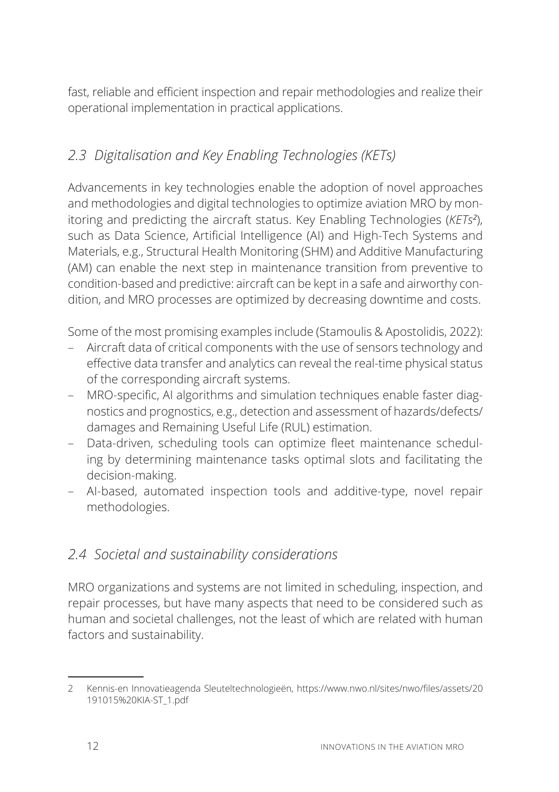fast, reliable and efficient inspection and repair methodologies and realize their operational implementation in practical applications.

## *2.3 Digitalisation and Key Enabling Technologies (KETs)*

Advancements in key technologies enable the adoption of novel approaches and methodologies and digital technologies to optimize aviation MRO by monitoring and predicting the aircraft status. Key Enabling Technologies (*KETs<sup>2</sup>* ), such as Data Science, Artificial Intelligence (AI) and High-Tech Systems and Materials, e.g., Structural Health Monitoring (SHM) and Additive Manufacturing (AM) can enable the next step in maintenance transition from preventive to condition-based and predictive: aircraft can be kept in a safe and airworthy condition, and MRO processes are optimized by decreasing downtime and costs.

Some of the most promising examples include (Stamoulis & Apostolidis, 2022):

- Aircraft data of critical components with the use of sensors technology and effective data transfer and analytics can reveal the real-time physical status of the corresponding aircraft systems.
- MRO-specific, AI algorithms and simulation techniques enable faster diagnostics and prognostics, e.g., detection and assessment of hazards/defects/ damages and Remaining Useful Life (RUL) estimation.
- Data-driven, scheduling tools can optimize fleet maintenance scheduling by determining maintenance tasks optimal slots and facilitating the decision-making.
- AI-based, automated inspection tools and additive-type, novel repair methodologies.

## *2.4 Societal and sustainability considerations*

MRO organizations and systems are not limited in scheduling, inspection, and repair processes, but have many aspects that need to be considered such as human and societal challenges, not the least of which are related with human factors and sustainability.

<sup>2</sup> Kennis-en Innovatieagenda Sleuteltechnologieën, https://www.nwo.nl/sites/nwo/files/assets/20 191015%20KIA-ST\_1.pdf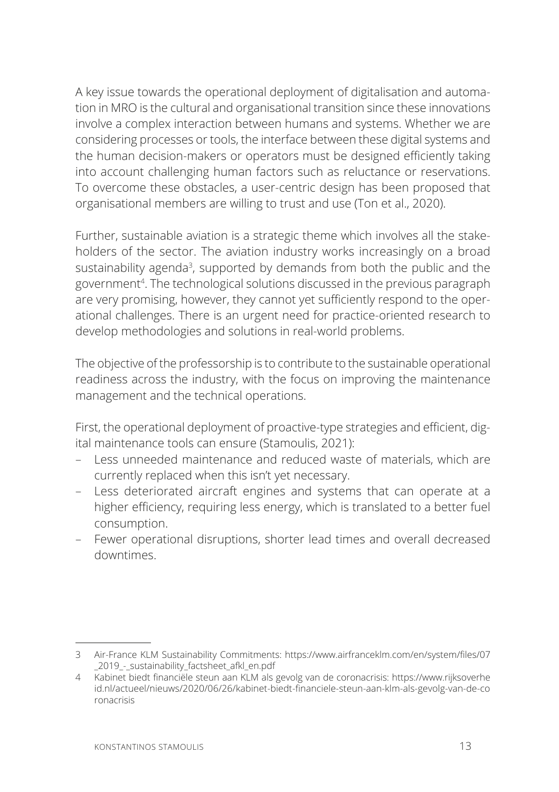A key issue towards the operational deployment of digitalisation and automation in MRO is the cultural and organisational transition since these innovations involve a complex interaction between humans and systems. Whether we are considering processes or tools, the interface between these digital systems and the human decision-makers or operators must be designed efficiently taking into account challenging human factors such as reluctance or reservations. To overcome these obstacles, a user-centric design has been proposed that organisational members are willing to trust and use (Ton et al., 2020).

Further, sustainable aviation is a strategic theme which involves all the stakeholders of the sector. The aviation industry works increasingly on a broad sustainability agenda<sup>3</sup>, supported by demands from both the public and the government4 . The technological solutions discussed in the previous paragraph are very promising, however, they cannot yet sufficiently respond to the operational challenges. There is an urgent need for practice-oriented research to develop methodologies and solutions in real-world problems.

The objective of the professorship is to contribute to the sustainable operational readiness across the industry, with the focus on improving the maintenance management and the technical operations.

First, the operational deployment of proactive-type strategies and efficient, digital maintenance tools can ensure (Stamoulis, 2021):

- Less unneeded maintenance and reduced waste of materials, which are currently replaced when this isn't yet necessary.
- Less deteriorated aircraft engines and systems that can operate at a higher efficiency, requiring less energy, which is translated to a better fuel consumption.
- Fewer operational disruptions, shorter lead times and overall decreased downtimes.

<sup>3</sup> Air-France KLM Sustainability Commitments: https://www.airfranceklm.com/en/system/files/07 \_2019\_-\_sustainability\_factsheet\_afkl\_en.pdf

 <sup>.</sup>DELQHWELHGWȴQDQFLOHVWHXQDDQ./0DOVJHYROJYDQGHFRURQDFULVLVKWWSVZZZULMNVRYHUKH id.nl/actueel/nieuws/2020/06/26/kabinet-biedt-financiele-steun-aan-klm-als-gevolg-van-de-co ronacrisis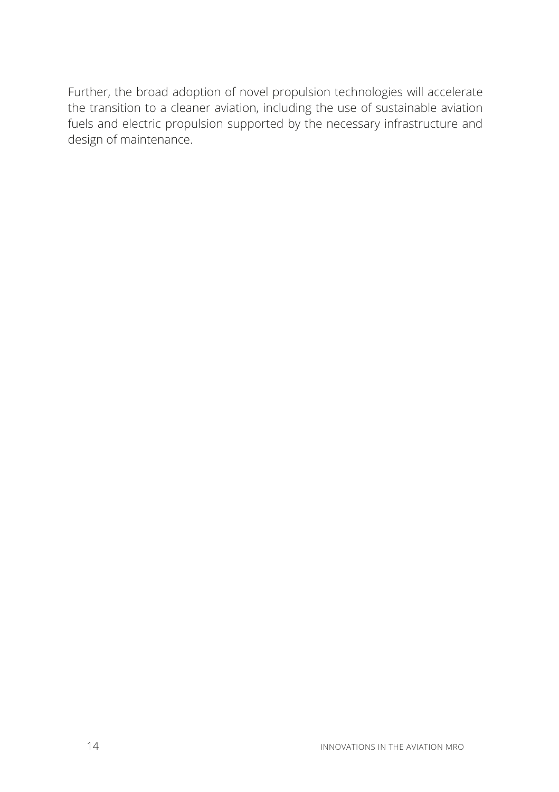Further, the broad adoption of novel propulsion technologies will accelerate the transition to a cleaner aviation, including the use of sustainable aviation fuels and electric propulsion supported by the necessary infrastructure and design of maintenance.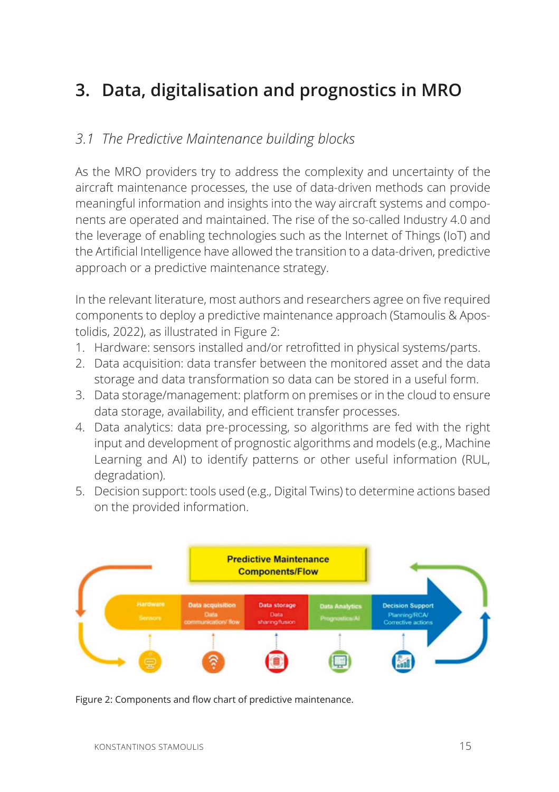# **3. Data, digitalisation and prognostics in MRO**

#### *3.1 The Predictive Maintenance building blocks*

As the MRO providers try to address the complexity and uncertainty of the aircraft maintenance processes, the use of data-driven methods can provide meaningful information and insights into the way aircraft systems and components are operated and maintained. The rise of the so-called Industry 4.0 and the leverage of enabling technologies such as the Internet of Things (IoT) and the Artificial Intelligence have allowed the transition to a data-driven, predictive approach or a predictive maintenance strategy.

In the relevant literature, most authors and researchers agree on five required components to deploy a predictive maintenance approach (Stamoulis & Apostolidis, 2022), as illustrated in Figure 2:

- 1. Hardware: sensors installed and/or retrofitted in physical systems/parts.
- 2. Data acquisition: data transfer between the monitored asset and the data storage and data transformation so data can be stored in a useful form.
- 3. Data storage/management: platform on premises or in the cloud to ensure data storage, availability, and efficient transfer processes.
- 4. Data analytics: data pre-processing, so algorithms are fed with the right input and development of prognostic algorithms and models (e.g., Machine Learning and AI) to identify patterns or other useful information (RUL, degradation).
- 5. Decision support: tools used (e.g., Digital Twins) to determine actions based on the provided information.



Figure 2: Components and flow chart of predictive maintenance.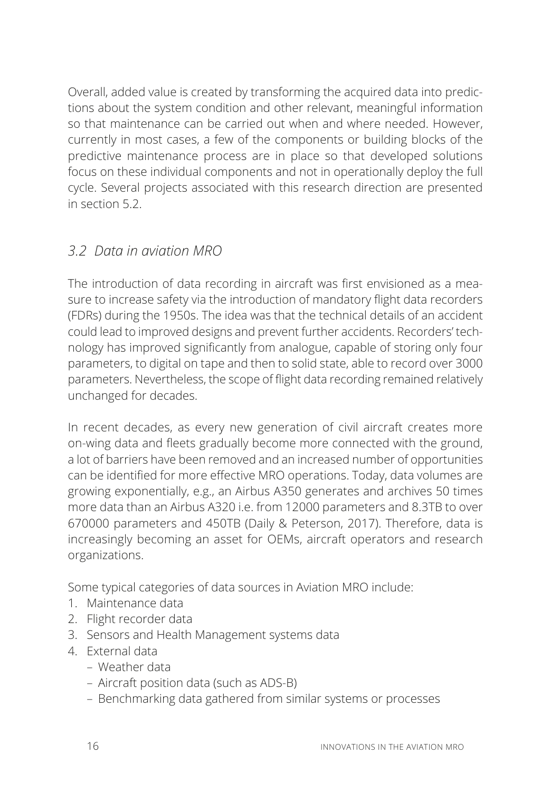Overall, added value is created by transforming the acquired data into predictions about the system condition and other relevant, meaningful information so that maintenance can be carried out when and where needed. However, currently in most cases, a few of the components or building blocks of the predictive maintenance process are in place so that developed solutions focus on these individual components and not in operationally deploy the full cycle. Several projects associated with this research direction are presented in section 5.2.

## *3.2 Data in aviation MRO*

The introduction of data recording in aircraft was first envisioned as a measure to increase safety via the introduction of mandatory flight data recorders (FDRs) during the 1950s. The idea was that the technical details of an accident could lead to improved designs and prevent further accidents. Recorders' technology has improved significantly from analogue, capable of storing only four parameters, to digital on tape and then to solid state, able to record over 3000 parameters. Nevertheless, the scope of flight data recording remained relatively unchanged for decades.

In recent decades, as every new generation of civil aircraft creates more on-wing data and fleets gradually become more connected with the ground, a lot of barriers have been removed and an increased number of opportunities can be identified for more effective MRO operations. Today, data volumes are growing exponentially, e.g., an Airbus A350 generates and archives 50 times more data than an Airbus A320 i.e. from 12000 parameters and 8.3TB to over 670000 parameters and 450TB (Daily & Peterson, 2017). Therefore, data is increasingly becoming an asset for OEMs, aircraft operators and research organizations.

Some typical categories of data sources in Aviation MRO include:

- 1. Maintenance data
- 2. Flight recorder data
- 3. Sensors and Health Management systems data
- 4. External data
	- Weather data
	- Aircraft position data (such as ADS-B)
	- Benchmarking data gathered from similar systems or processes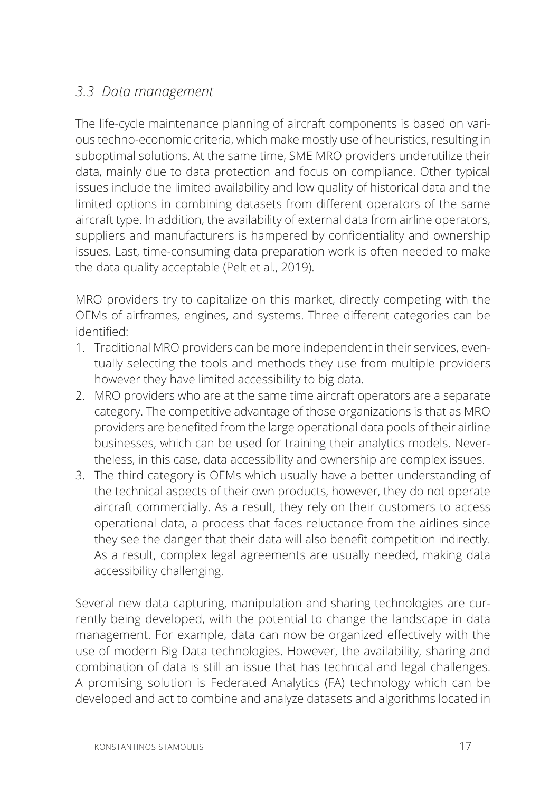### *3.3 Data management*

The life-cycle maintenance planning of aircraft components is based on various techno-economic criteria, which make mostly use of heuristics, resulting in suboptimal solutions. At the same time, SME MRO providers underutilize their data, mainly due to data protection and focus on compliance. Other typical issues include the limited availability and low quality of historical data and the limited options in combining datasets from different operators of the same aircraft type. In addition, the availability of external data from airline operators, suppliers and manufacturers is hampered by confidentiality and ownership issues. Last, time-consuming data preparation work is often needed to make the data quality acceptable (Pelt et al., 2019).

MRO providers try to capitalize on this market, directly competing with the OEMs of airframes, engines, and systems. Three different categories can be identified<sup>.</sup>

- 1. Traditional MRO providers can be more independent in their services, eventually selecting the tools and methods they use from multiple providers however they have limited accessibility to big data.
- 2. MRO providers who are at the same time aircraft operators are a separate category. The competitive advantage of those organizations is that as MRO providers are benefited from the large operational data pools of their airline businesses, which can be used for training their analytics models. Nevertheless, in this case, data accessibility and ownership are complex issues.
- 3. The third category is OEMs which usually have a better understanding of the technical aspects of their own products, however, they do not operate aircraft commercially. As a result, they rely on their customers to access operational data, a process that faces reluctance from the airlines since they see the danger that their data will also benefit competition indirectly. As a result, complex legal agreements are usually needed, making data accessibility challenging.

Several new data capturing, manipulation and sharing technologies are currently being developed, with the potential to change the landscape in data management. For example, data can now be organized effectively with the use of modern Big Data technologies. However, the availability, sharing and combination of data is still an issue that has technical and legal challenges. A promising solution is Federated Analytics (FA) technology which can be developed and act to combine and analyze datasets and algorithms located in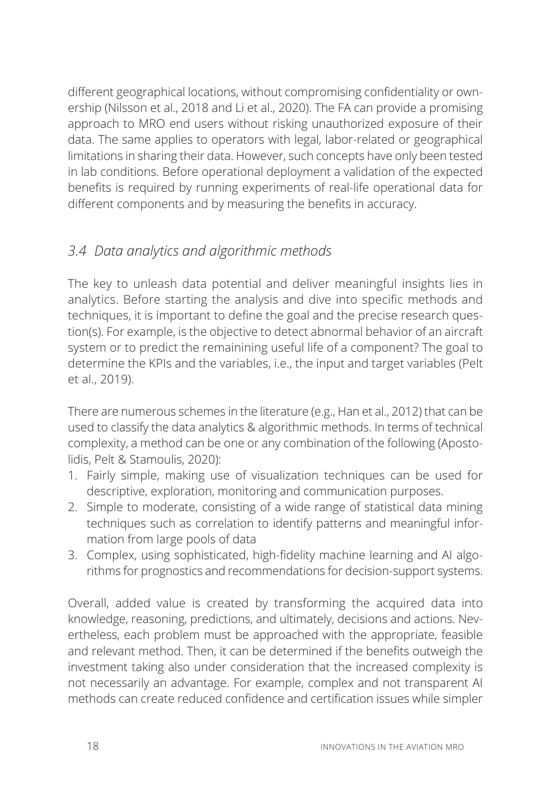different geographical locations, without compromising confidentiality or ownership (Nilsson et al., 2018 and Li et al., 2020). The FA can provide a promising approach to MRO end users without risking unauthorized exposure of their data. The same applies to operators with legal, labor-related or geographical limitations in sharing their data. However, such concepts have only been tested in lab conditions. Before operational deployment a validation of the expected benefits is required by running experiments of real-life operational data for different components and by measuring the benefits in accuracy.

## *3.4 Data analytics and algorithmic methods*

The key to unleash data potential and deliver meaningful insights lies in analytics. Before starting the analysis and dive into specific methods and techniques, it is important to define the goal and the precise research question(s). For example, is the objective to detect abnormal behavior of an aircraft system or to predict the remainining useful life of a component? The goal to determine the KPIs and the variables, i.e., the input and target variables (Pelt et al., 2019).

There are numerous schemes in the literature (e.g., Han et al., 2012) that can be used to classify the data analytics & algorithmic methods. In terms of technical complexity, a method can be one or any combination of the following (Apostolidis, Pelt & Stamoulis, 2020):

- 1. Fairly simple, making use of visualization techniques can be used for descriptive, exploration, monitoring and communication purposes.
- 2. Simple to moderate, consisting of a wide range of statistical data mining techniques such as correlation to identify patterns and meaningful information from large pools of data
- 3. Complex, using sophisticated, high-fidelity machine learning and AI algorithms for prognostics and recommendations for decision-support systems.

Overall, added value is created by transforming the acquired data into knowledge, reasoning, predictions, and ultimately, decisions and actions. Nevertheless, each problem must be approached with the appropriate, feasible and relevant method. Then, it can be determined if the benefits outweigh the investment taking also under consideration that the increased complexity is not necessarily an advantage. For example, complex and not transparent AI methods can create reduced confidence and certification issues while simpler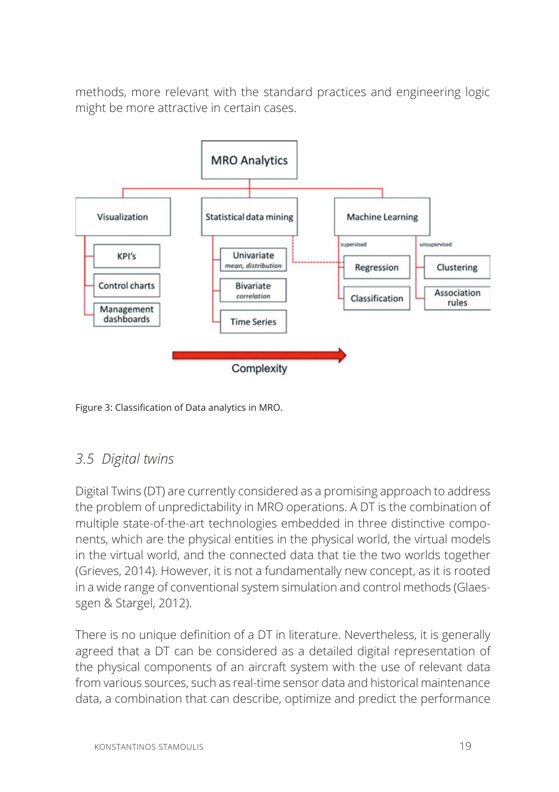methods, more relevant with the standard practices and engineering logic might be more attractive in certain cases.





#### *3.5 Digital twins*

Digital Twins (DT) are currently considered as a promising approach to address the problem of unpredictability in MRO operations. A DT is the combination of multiple state-of-the-art technologies embedded in three distinctive components, which are the physical entities in the physical world, the virtual models in the virtual world, and the connected data that tie the two worlds together (Grieves, 2014). However, it is not a fundamentally new concept, as it is rooted in a wide range of conventional system simulation and control methods (Glaessgen & Stargel, 2012).

There is no unique definition of a DT in literature. Nevertheless, it is generally agreed that a DT can be considered as a detailed digital representation of the physical components of an aircraft system with the use of relevant data from various sources, such as real-time sensor data and historical maintenance data, a combination that can describe, optimize and predict the performance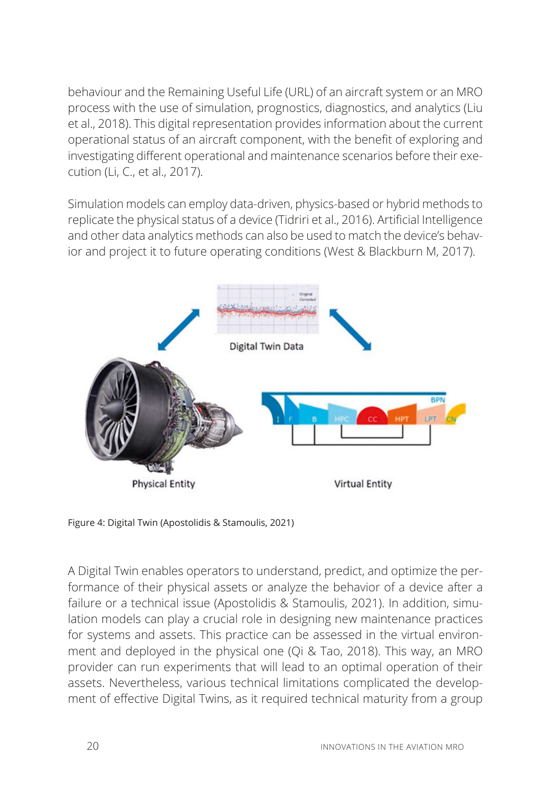behaviour and the Remaining Useful Life (URL) of an aircraft system or an MRO process with the use of simulation, prognostics, diagnostics, and analytics (Liu et al., 2018). This digital representation provides information about the current operational status of an aircraft component, with the benefit of exploring and investigating different operational and maintenance scenarios before their execution (Li, C., et al., 2017).

Simulation models can employ data-driven, physics-based or hybrid methods to replicate the physical status of a device (Tidriri et al., 2016). Artificial Intelligence and other data analytics methods can also be used to match the device's behavior and project it to future operating conditions (West & Blackburn M, 2017).



Figure 4: Digital Twin (Apostolidis & Stamoulis, 2021)

A Digital Twin enables operators to understand, predict, and optimize the performance of their physical assets or analyze the behavior of a device after a failure or a technical issue (Apostolidis & Stamoulis, 2021). In addition, simulation models can play a crucial role in designing new maintenance practices for systems and assets. This practice can be assessed in the virtual environment and deployed in the physical one (Qi & Tao, 2018). This way, an MRO provider can run experiments that will lead to an optimal operation of their assets. Nevertheless, various technical limitations complicated the development of effective Digital Twins, as it required technical maturity from a group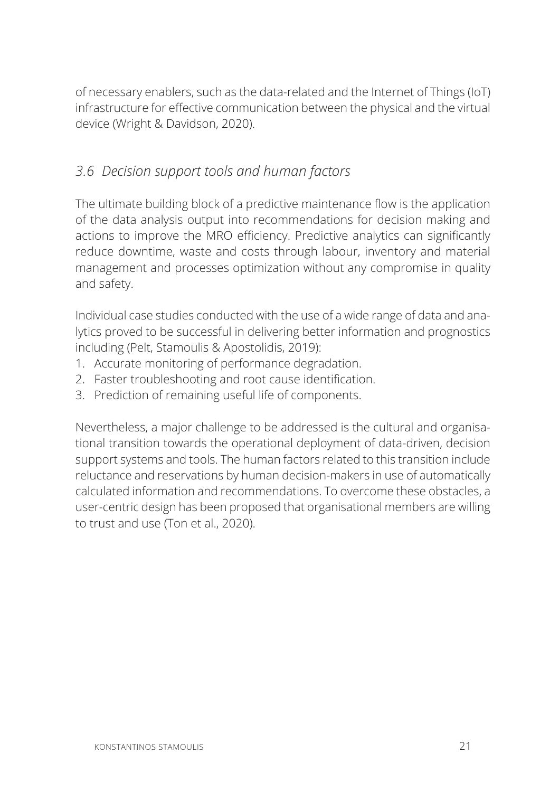of necessary enablers, such as the data-related and the Internet of Things (IoT) infrastructure for effective communication between the physical and the virtual device (Wright & Davidson, 2020).

#### *3.6 Decision support tools and human factors*

The ultimate building block of a predictive maintenance flow is the application of the data analysis output into recommendations for decision making and actions to improve the MRO efficiency. Predictive analytics can significantly reduce downtime, waste and costs through labour, inventory and material management and processes optimization without any compromise in quality and safety.

Individual case studies conducted with the use of a wide range of data and analytics proved to be successful in delivering better information and prognostics including (Pelt, Stamoulis & Apostolidis, 2019):

- 1. Accurate monitoring of performance degradation.
- 2. Faster troubleshooting and root cause identification.
- 3. Prediction of remaining useful life of components.

Nevertheless, a major challenge to be addressed is the cultural and organisational transition towards the operational deployment of data-driven, decision support systems and tools. The human factors related to this transition include reluctance and reservations by human decision-makers in use of automatically calculated information and recommendations. To overcome these obstacles, a user-centric design has been proposed that organisational members are willing to trust and use (Ton et al., 2020).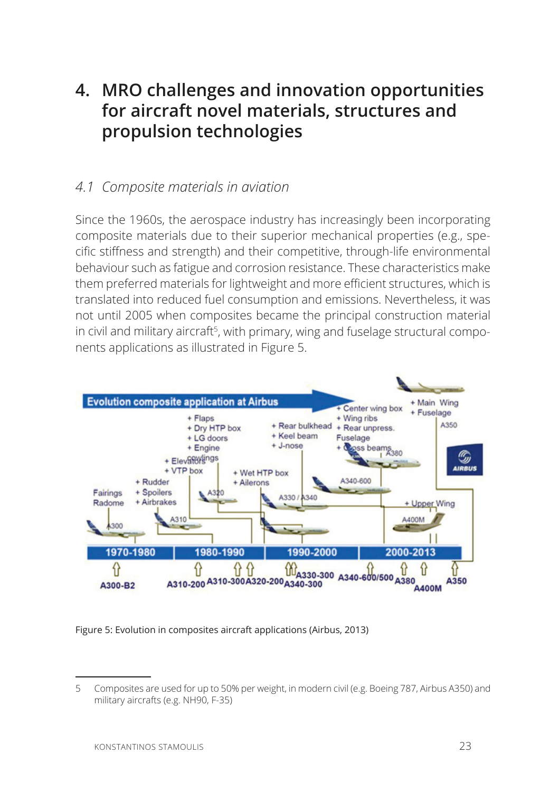# **4. MRO challenges and innovation opportunities for aircraft novel materials, structures and propulsion technologies**

#### *4.1 Composite materials in aviation*

Since the 1960s, the aerospace industry has increasingly been incorporating composite materials due to their superior mechanical properties (e.g., specific stiffness and strength) and their competitive, through-life environmental behaviour such as fatigue and corrosion resistance. These characteristics make them preferred materials for lightweight and more efficient structures, which is translated into reduced fuel consumption and emissions. Nevertheless, it was not until 2005 when composites became the principal construction material in civil and military aircraft<sup>5</sup>, with primary, wing and fuselage structural components applications as illustrated in Figure 5.



Figure 5: Evolution in composites aircraft applications (Airbus, 2013)

<sup>5</sup> Composites are used for up to 50% per weight, in modern civil (e.g. Boeing 787, Airbus A350) and military aircrafts (e.g. NH90, F-35)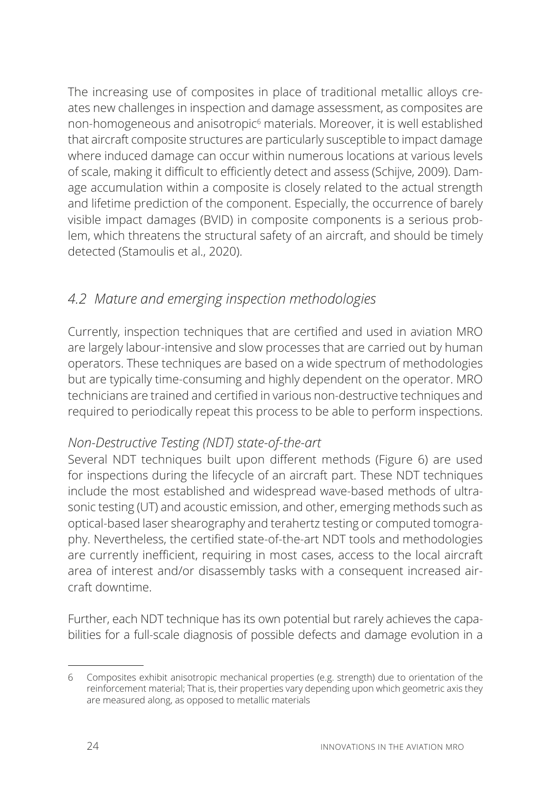The increasing use of composites in place of traditional metallic alloys creates new challenges in inspection and damage assessment, as composites are non-homogeneous and anisotropic<sup>6</sup> materials. Moreover, it is well established that aircraft composite structures are particularly susceptible to impact damage where induced damage can occur within numerous locations at various levels of scale, making it difficult to efficiently detect and assess (Schijve, 2009). Damage accumulation within a composite is closely related to the actual strength and lifetime prediction of the component. Especially, the occurrence of barely visible impact damages (BVID) in composite components is a serious problem, which threatens the structural safety of an aircraft, and should be timely detected (Stamoulis et al., 2020).

## *4.2 Mature and emerging inspection methodologies*

Currently, inspection techniques that are certified and used in aviation MRO are largely labour-intensive and slow processes that are carried out by human operators. These techniques are based on a wide spectrum of methodologies but are typically time-consuming and highly dependent on the operator. MRO technicians are trained and certified in various non-destructive techniques and required to periodically repeat this process to be able to perform inspections.

#### *Non-Destructive Testing (NDT) state-of-the-art*

Several NDT techniques built upon different methods (Figure 6) are used for inspections during the lifecycle of an aircraft part. These NDT techniques include the most established and widespread wave-based methods of ultrasonic testing (UT) and acoustic emission, and other, emerging methods such as optical-based laser shearography and terahertz testing or computed tomography. Nevertheless, the certified state-of-the-art NDT tools and methodologies are currently inefficient, requiring in most cases, access to the local aircraft area of interest and/or disassembly tasks with a consequent increased aircraft downtime.

Further, each NDT technique has its own potential but rarely achieves the capabilities for a full-scale diagnosis of possible defects and damage evolution in a

<sup>6</sup> Composites exhibit anisotropic mechanical properties (e.g. strength) due to orientation of the reinforcement material; That is, their properties vary depending upon which geometric axis they are measured along, as opposed to metallic materials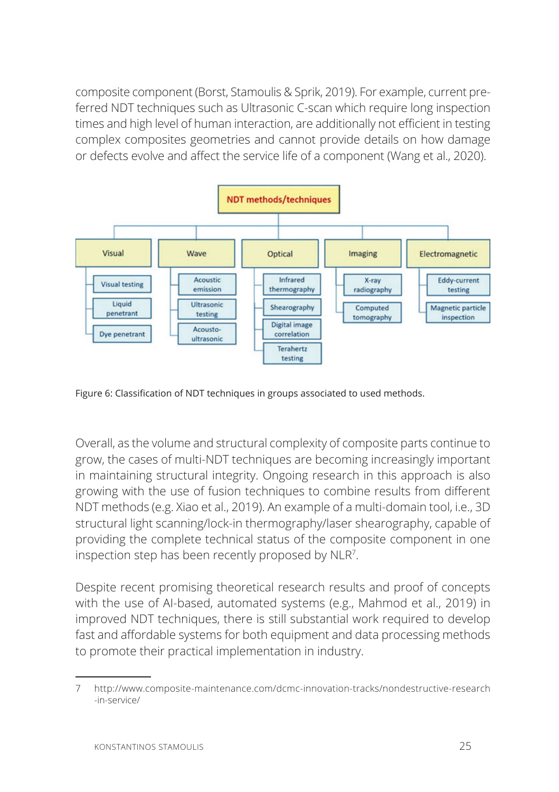composite component (Borst, Stamoulis & Sprik, 2019). For example, current preferred NDT techniques such as Ultrasonic C-scan which require long inspection times and high level of human interaction, are additionally not efficient in testing complex composites geometries and cannot provide details on how damage or defects evolve and affect the service life of a component (Wang et al., 2020).



Figure 6: Classification of NDT techniques in groups associated to used methods.

Overall, as the volume and structural complexity of composite parts continue to grow, the cases of multi-NDT techniques are becoming increasingly important in maintaining structural integrity. Ongoing research in this approach is also growing with the use of fusion techniques to combine results from different NDT methods (e.g. Xiao et al., 2019). An example of a multi-domain tool, i.e., 3D structural light scanning/lock-in thermography/laser shearography, capable of providing the complete technical status of the composite component in one inspection step has been recently proposed by NLR7 .

Despite recent promising theoretical research results and proof of concepts with the use of AI-based, automated systems (e.g., Mahmod et al., 2019) in improved NDT techniques, there is still substantial work required to develop fast and affordable systems for both equipment and data processing methods to promote their practical implementation in industry.

<sup>7</sup> http://www.composite-maintenance.com/dcmc-innovation-tracks/nondestructive-research -in-service/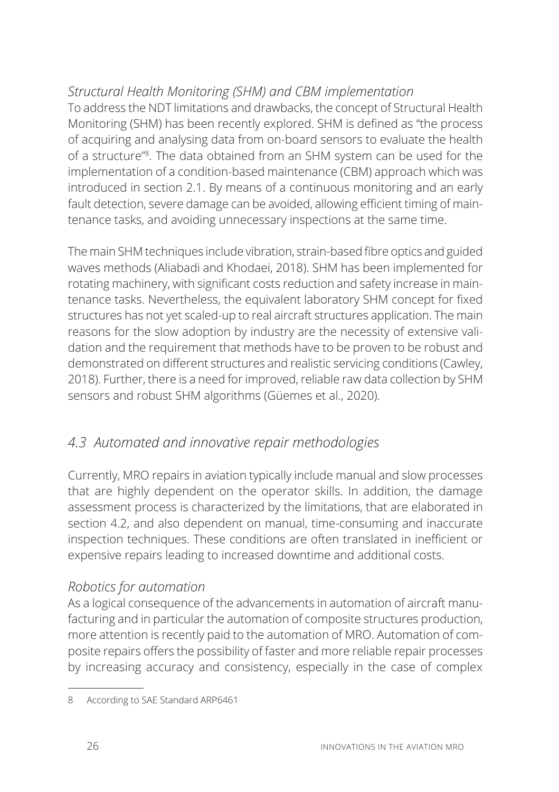#### *Structural Health Monitoring (SHM) and CBM implementation*

To address the NDT limitations and drawbacks, the concept of Structural Health Monitoring (SHM) has been recently explored. SHM is defined as "the process" of acquiring and analysing data from on-board sensors to evaluate the health of a structure"8 . The data obtained from an SHM system can be used for the implementation of a condition-based maintenance (CBM) approach which was introduced in section 2.1. By means of a continuous monitoring and an early fault detection, severe damage can be avoided, allowing efficient timing of maintenance tasks, and avoiding unnecessary inspections at the same time.

The main SHM techniques include vibration, strain-based fibre optics and guided waves methods (Aliabadi and Khodaei, 2018). SHM has been implemented for rotating machinery, with significant costs reduction and safety increase in maintenance tasks. Nevertheless, the equivalent laboratory SHM concept for fixed structures has not yet scaled-up to real aircraft structures application. The main reasons for the slow adoption by industry are the necessity of extensive validation and the requirement that methods have to be proven to be robust and demonstrated on different structures and realistic servicing conditions (Cawley, 2018). Further, there is a need for improved, reliable raw data collection by SHM sensors and robust SHM algorithms (Güemes et al., 2020).

## *4.3 Automated and innovative repair methodologies*

Currently, MRO repairs in aviation typically include manual and slow processes that are highly dependent on the operator skills. In addition, the damage assessment process is characterized by the limitations, that are elaborated in section 4.2, and also dependent on manual, time-consuming and inaccurate inspection techniques. These conditions are often translated in inefficient or expensive repairs leading to increased downtime and additional costs.

#### *Robotics for automation*

As a logical consequence of the advancements in automation of aircraft manufacturing and in particular the automation of composite structures production, more attention is recently paid to the automation of MRO. Automation of composite repairs offers the possibility of faster and more reliable repair processes by increasing accuracy and consistency, especially in the case of complex

<sup>8</sup> According to SAE Standard ARP6461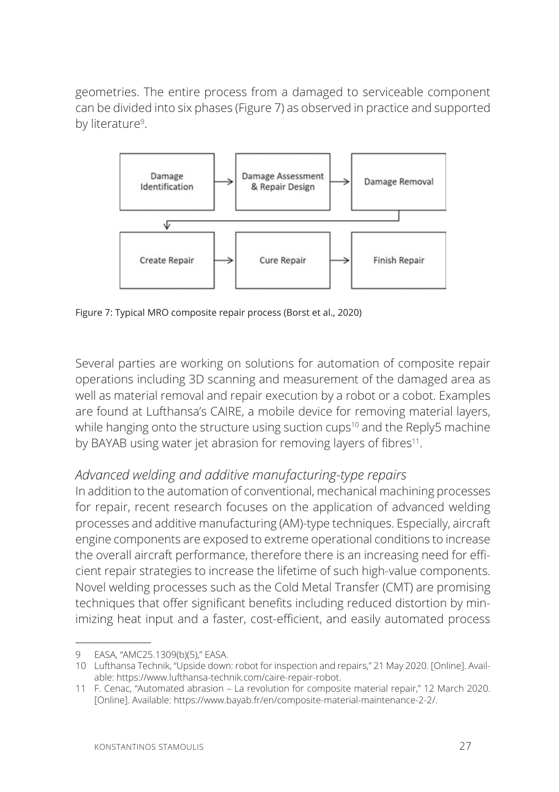geometries. The entire process from a damaged to serviceable component can be divided into six phases (Figure 7) as observed in practice and supported by literature<sup>9</sup>.



Figure 7: Typical MRO composite repair process (Borst et al., 2020)

Several parties are working on solutions for automation of composite repair operations including 3D scanning and measurement of the damaged area as well as material removal and repair execution by a robot or a cobot. Examples are found at Lufthansa's CAIRE, a mobile device for removing material layers, while hanging onto the structure using suction cups<sup>10</sup> and the Reply5 machine by BAYAB using water jet abrasion for removing layers of fibres<sup>11</sup>.

#### *Advanced welding and additive manufacturing-type repairs*

In addition to the automation of conventional, mechanical machining processes for repair, recent research focuses on the application of advanced welding processes and additive manufacturing (AM)-type techniques. Especially, aircraft engine components are exposed to extreme operational conditions to increase the overall aircraft performance, therefore there is an increasing need for efficient repair strategies to increase the lifetime of such high-value components. Novel welding processes such as the Cold Metal Transfer (CMT) are promising techniques that offer significant benefits including reduced distortion by minimizing heat input and a faster, cost-efficient, and easily automated process

<sup>9</sup> EASA, "AMC25.1309(b)(5)," EASA.

<sup>10</sup> Lufthansa Technik, "Upside down: robot for inspection and repairs," 21 May 2020. [Online]. Available: https://www.lufthansa-technik.com/caire-repair-robot.

<sup>11</sup> F. Cenac, "Automated abrasion - La revolution for composite material repair," 12 March 2020. [Online]. Available: https://www.bayab.fr/en/composite-material-maintenance-2-2/.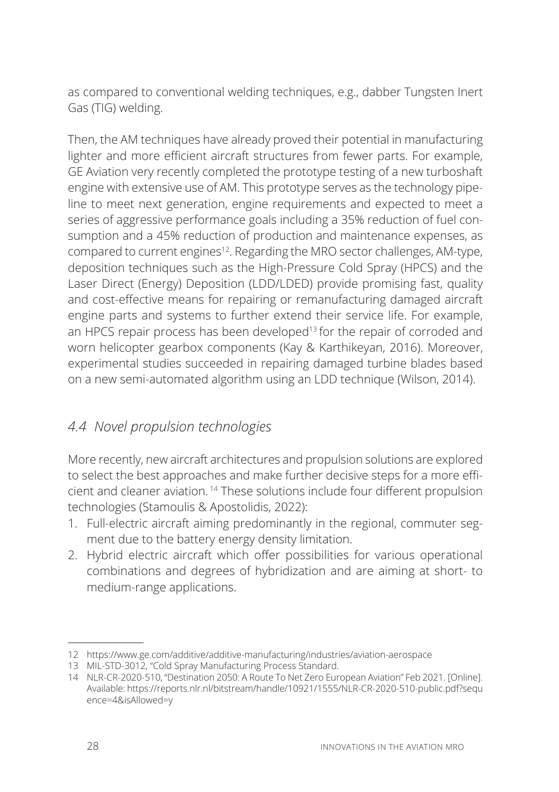as compared to conventional welding techniques, e.g., dabber Tungsten Inert Gas (TIG) welding.

Then, the AM techniques have already proved their potential in manufacturing lighter and more efficient aircraft structures from fewer parts. For example, GE Aviation very recently completed the prototype testing of a new turboshaft engine with extensive use of AM. This prototype serves as the technology pipeline to meet next generation, engine requirements and expected to meet a series of aggressive performance goals including a 35% reduction of fuel consumption and a 45% reduction of production and maintenance expenses, as compared to current engines<sup>12</sup>. Regarding the MRO sector challenges, AM-type, deposition techniques such as the High-Pressure Cold Spray (HPCS) and the Laser Direct (Energy) Deposition (LDD/LDED) provide promising fast, quality and cost-effective means for repairing or remanufacturing damaged aircraft engine parts and systems to further extend their service life. For example, an HPCS repair process has been developed<sup>13</sup> for the repair of corroded and worn helicopter gearbox components (Kay & Karthikeyan, 2016). Moreover, experimental studies succeeded in repairing damaged turbine blades based on a new semi-automated algorithm using an LDD technique (Wilson, 2014).

## *4.4 Novel propulsion technologies*

More recently, new aircraft architectures and propulsion solutions are explored to select the best approaches and make further decisive steps for a more efficient and cleaner aviation.<sup>14</sup> These solutions include four different propulsion technologies (Stamoulis & Apostolidis, 2022):

- 1. Full-electric aircraft aiming predominantly in the regional, commuter segment due to the battery energy density limitation.
- 2. Hybrid electric aircraft which offer possibilities for various operational combinations and degrees of hybridization and are aiming at short- to medium-range applications.

<sup>12</sup> https://www.ge.com/additive/additive-manufacturing/industries/aviation-aerospace

<sup>13</sup> MIL-STD-3012, "Cold Spray Manufacturing Process Standard.

<sup>14</sup> NLR-CR-2020-510, "Destination 2050: A Route To Net Zero European Aviation" Feb 2021. [Online]. Available: https://reports.nlr.nl/bitstream/handle/10921/1555/NLR-CR-2020-510-public.pdf?sequ ence=4&isAllowed=y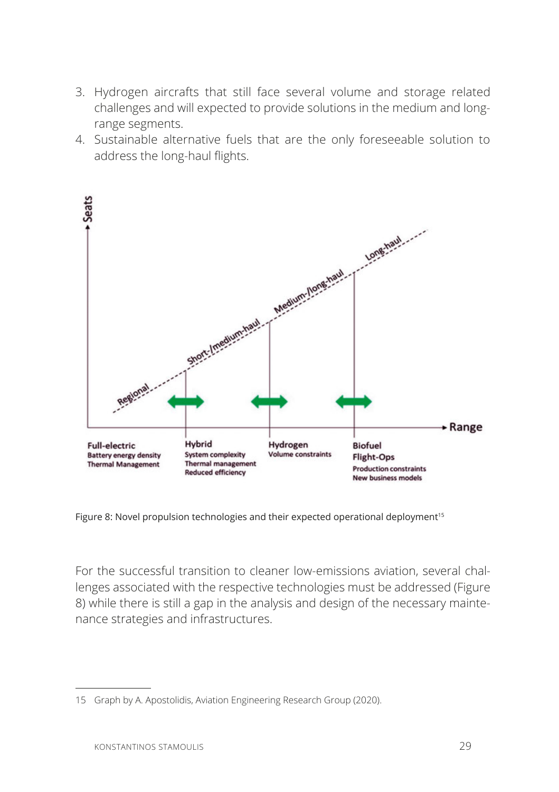- 3. Hydrogen aircrafts that still face several volume and storage related challenges and will expected to provide solutions in the medium and longrange segments.
- 4. Sustainable alternative fuels that are the only foreseeable solution to address the long-haul flights.



Figure 8: Novel propulsion technologies and their expected operational deployment<sup>15</sup>

For the successful transition to cleaner low-emissions aviation, several challenges associated with the respective technologies must be addressed (Figure 8) while there is still a gap in the analysis and design of the necessary maintenance strategies and infrastructures.

<sup>15</sup> Graph by A. Apostolidis, Aviation Engineering Research Group (2020).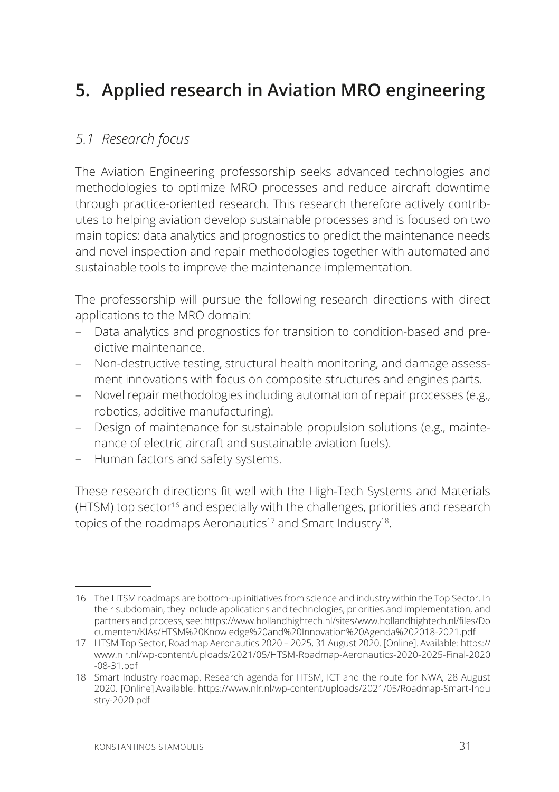# **5. Applied research in Aviation MRO engineering**

#### *5.1 Research focus*

The Aviation Engineering professorship seeks advanced technologies and methodologies to optimize MRO processes and reduce aircraft downtime through practice-oriented research. This research therefore actively contributes to helping aviation develop sustainable processes and is focused on two main topics: data analytics and prognostics to predict the maintenance needs and novel inspection and repair methodologies together with automated and sustainable tools to improve the maintenance implementation.

The professorship will pursue the following research directions with direct applications to the MRO domain:

- Data analytics and prognostics for transition to condition-based and predictive maintenance.
- Non-destructive testing, structural health monitoring, and damage assessment innovations with focus on composite structures and engines parts.
- Novel repair methodologies including automation of repair processes (e.g., robotics, additive manufacturing).
- Design of maintenance for sustainable propulsion solutions (e.g., maintenance of electric aircraft and sustainable aviation fuels).
- Human factors and safety systems.

These research directions fit well with the High-Tech Systems and Materials (HTSM) top sector<sup>16</sup> and especially with the challenges, priorities and research topics of the roadmaps Aeronautics<sup>17</sup> and Smart Industry<sup>18</sup>.

<sup>16</sup> The HTSM roadmaps are bottom-up initiatives from science and industry within the Top Sector. In their subdomain, they include applications and technologies, priorities and implementation, and partners and process, see: https://www.hollandhightech.nl/sites/www.hollandhightech.nl/files/Do cumenten/KIAs/HTSM%20Knowledge%20and%20Innovation%20Agenda%202018-2021.pdf

<sup>17</sup> HTSM Top Sector, Roadmap Aeronautics 2020 - 2025, 31 August 2020. [Online]. Available: https:// www.nlr.nl/wp-content/uploads/2021/05/HTSM-Roadmap-Aeronautics-2020-2025-Final-2020 -08-31.pdf

<sup>18</sup> Smart Industry roadmap, Research agenda for HTSM, ICT and the route for NWA, 28 August 2020. [Online].Available: https://www.nlr.nl/wp-content/uploads/2021/05/Roadmap-Smart-Indu stry-2020.pdf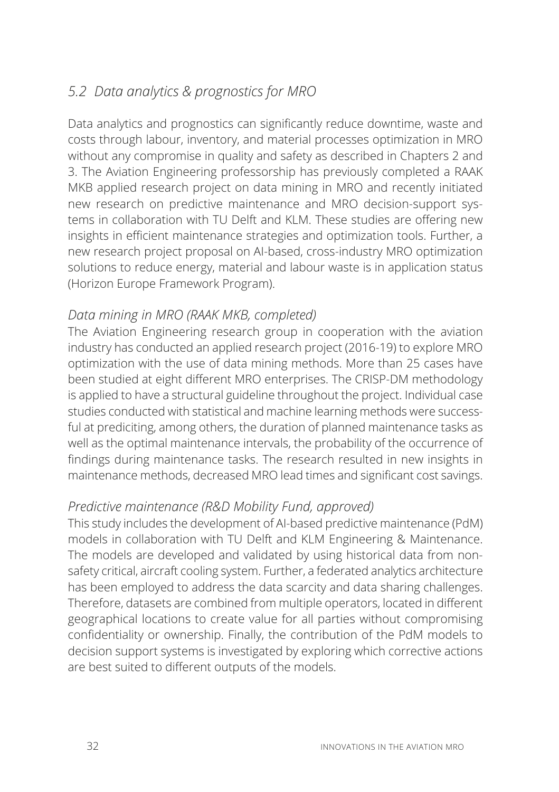# *5.2 Data analytics & prognostics for MRO*

Data analytics and prognostics can significantly reduce downtime, waste and costs through labour, inventory, and material processes optimization in MRO without any compromise in quality and safety as described in Chapters 2 and 3. The Aviation Engineering professorship has previously completed a RAAK MKB applied research project on data mining in MRO and recently initiated new research on predictive maintenance and MRO decision-support systems in collaboration with TU Delft and KLM. These studies are offering new insights in efficient maintenance strategies and optimization tools. Further, a new research project proposal on AI-based, cross-industry MRO optimization solutions to reduce energy, material and labour waste is in application status (Horizon Europe Framework Program).

#### *Data mining in MRO (RAAK MKB, completed)*

The Aviation Engineering research group in cooperation with the aviation industry has conducted an applied research project (2016-19) to explore MRO optimization with the use of data mining methods. More than 25 cases have been studied at eight different MRO enterprises. The CRISP-DM methodology is applied to have a structural guideline throughout the project. Individual case studies conducted with statistical and machine learning methods were successful at prediciting, among others, the duration of planned maintenance tasks as well as the optimal maintenance intervals, the probability of the occurrence of findings during maintenance tasks. The research resulted in new insights in maintenance methods, decreased MRO lead times and significant cost savings.

#### *Predictive maintenance (R&D Mobility Fund, approved)*

This study includes the development of AI-based predictive maintenance (PdM) models in collaboration with TU Delft and KLM Engineering & Maintenance. The models are developed and validated by using historical data from nonsafety critical, aircraft cooling system. Further, a federated analytics architecture has been employed to address the data scarcity and data sharing challenges. Therefore, datasets are combined from multiple operators, located in different geographical locations to create value for all parties without compromising confidentiality or ownership. Finally, the contribution of the PdM models to decision support systems is investigated by exploring which corrective actions are best suited to different outputs of the models.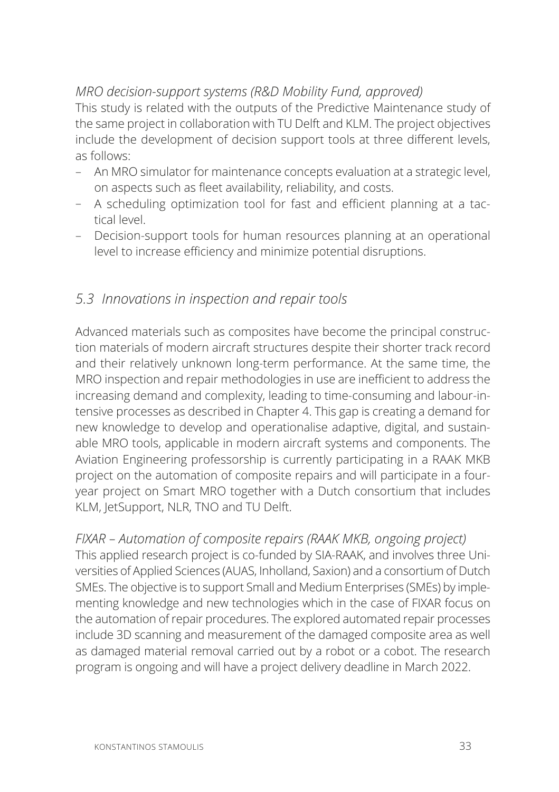#### *MRO decision-support systems (R&D Mobility Fund, approved)*

This study is related with the outputs of the Predictive Maintenance study of the same project in collaboration with TU Delft and KLM. The project objectives include the development of decision support tools at three different levels, as follows:

- An MRO simulator for maintenance concepts evaluation at a strategic level, on aspects such as fleet availability, reliability, and costs.
- A scheduling optimization tool for fast and efficient planning at a tactical level.
- Decision-support tools for human resources planning at an operational level to increase efficiency and minimize potential disruptions.

#### *5.3 Innovations in inspection and repair tools*

Advanced materials such as composites have become the principal construction materials of modern aircraft structures despite their shorter track record and their relatively unknown long-term performance. At the same time, the MRO inspection and repair methodologies in use are inefficient to address the increasing demand and complexity, leading to time-consuming and labour-intensive processes as described in Chapter 4. This gap is creating a demand for new knowledge to develop and operationalise adaptive, digital, and sustainable MRO tools, applicable in modern aircraft systems and components. The Aviation Engineering professorship is currently participating in a RAAK MKB project on the automation of composite repairs and will participate in a fouryear project on Smart MRO together with a Dutch consortium that includes KLM, JetSupport, NLR, TNO and TU Delft.

*FIXAR – Automation of composite repairs (RAAK MKB, ongoing project)* This applied research project is co-funded by SIA-RAAK, and involves three Universities of Applied Sciences (AUAS, Inholland, Saxion) and a consortium of Dutch SMEs. The objective is to support Small and Medium Enterprises (SMEs) by implementing knowledge and new technologies which in the case of FIXAR focus on the automation of repair procedures. The explored automated repair processes include 3D scanning and measurement of the damaged composite area as well as damaged material removal carried out by a robot or a cobot. The research program is ongoing and will have a project delivery deadline in March 2022.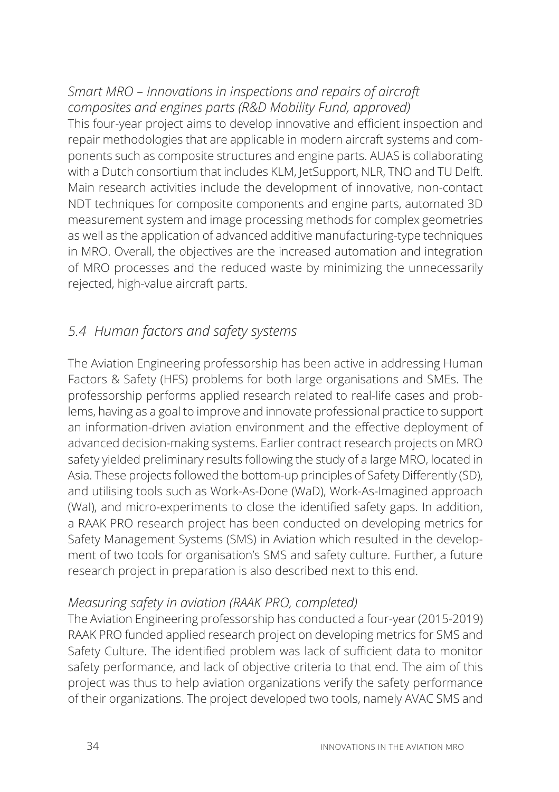#### *Smart MRO – Innovations in inspections and repairs of aircraft composites and engines parts (R&D Mobility Fund, approved)*

This four-year project aims to develop innovative and efficient inspection and repair methodologies that are applicable in modern aircraft systems and components such as composite structures and engine parts. AUAS is collaborating with a Dutch consortium that includes KLM, JetSupport, NLR, TNO and TU Delft. Main research activities include the development of innovative, non-contact NDT techniques for composite components and engine parts, automated 3D measurement system and image processing methods for complex geometries as well as the application of advanced additive manufacturing-type techniques in MRO. Overall, the objectives are the increased automation and integration of MRO processes and the reduced waste by minimizing the unnecessarily rejected, high-value aircraft parts.

# *5.4 Human factors and safety systems*

The Aviation Engineering professorship has been active in addressing Human Factors & Safety (HFS) problems for both large organisations and SMEs. The professorship performs applied research related to real-life cases and problems, having as a goal to improve and innovate professional practice to support an information-driven aviation environment and the effective deployment of advanced decision-making systems. Earlier contract research projects on MRO safety yielded preliminary results following the study of a large MRO, located in Asia. These projects followed the bottom-up principles of Safety Differently (SD), and utilising tools such as Work-As-Done (WaD), Work-As-Imagined approach (Wal), and micro-experiments to close the identified safety gaps. In addition, a RAAK PRO research project has been conducted on developing metrics for Safety Management Systems (SMS) in Aviation which resulted in the development of two tools for organisation's SMS and safety culture. Further, a future research project in preparation is also described next to this end.

#### *Measuring safety in aviation (RAAK PRO, completed)*

The Aviation Engineering professorship has conducted a four-year (2015-2019) RAAK PRO funded applied research project on developing metrics for SMS and Safety Culture. The identified problem was lack of sufficient data to monitor safety performance, and lack of objective criteria to that end. The aim of this project was thus to help aviation organizations verify the safety performance of their organizations. The project developed two tools, namely AVAC SMS and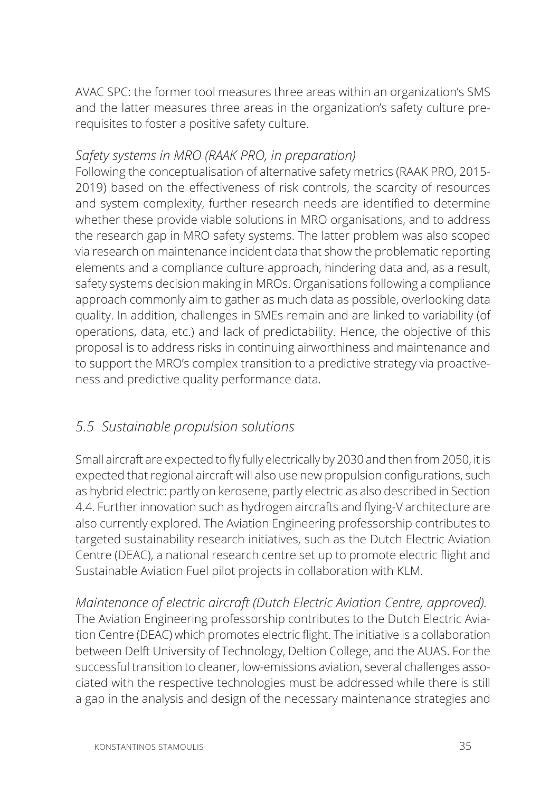AVAC SPC: the former tool measures three areas within an organization's SMS and the latter measures three areas in the organization's safety culture prerequisites to foster a positive safety culture.

#### *Safety systems in MRO (RAAK PRO, in preparation)*

Following the conceptualisation of alternative safety metrics (RAAK PRO, 2015- 2019) based on the effectiveness of risk controls, the scarcity of resources and system complexity, further research needs are identified to determine whether these provide viable solutions in MRO organisations, and to address the research gap in MRO safety systems. The latter problem was also scoped via research on maintenance incident data that show the problematic reporting elements and a compliance culture approach, hindering data and, as a result, safety systems decision making in MROs. Organisations following a compliance approach commonly aim to gather as much data as possible, overlooking data quality. In addition, challenges in SMEs remain and are linked to variability (of operations, data, etc.) and lack of predictability. Hence, the objective of this proposal is to address risks in continuing airworthiness and maintenance and to support the MRO's complex transition to a predictive strategy via proactiveness and predictive quality performance data.

#### *5.5 Sustainable propulsion solutions*

Small aircraft are expected to fly fully electrically by 2030 and then from 2050, it is expected that regional aircraft will also use new propulsion configurations, such as hybrid electric: partly on kerosene, partly electric as also described in Section 4.4. Further innovation such as hydrogen aircrafts and flying-V architecture are also currently explored. The Aviation Engineering professorship contributes to targeted sustainability research initiatives, such as the Dutch Electric Aviation Centre (DEAC), a national research centre set up to promote electric flight and Sustainable Aviation Fuel pilot projects in collaboration with KLM.

*Maintenance of electric aircraft (Dutch Electric Aviation Centre, approved).* The Aviation Engineering professorship contributes to the Dutch Electric Aviation Centre (DEAC) which promotes electric flight. The initiative is a collaboration between Delft University of Technology, Deltion College, and the AUAS. For the successful transition to cleaner, low-emissions aviation, several challenges associated with the respective technologies must be addressed while there is still a gap in the analysis and design of the necessary maintenance strategies and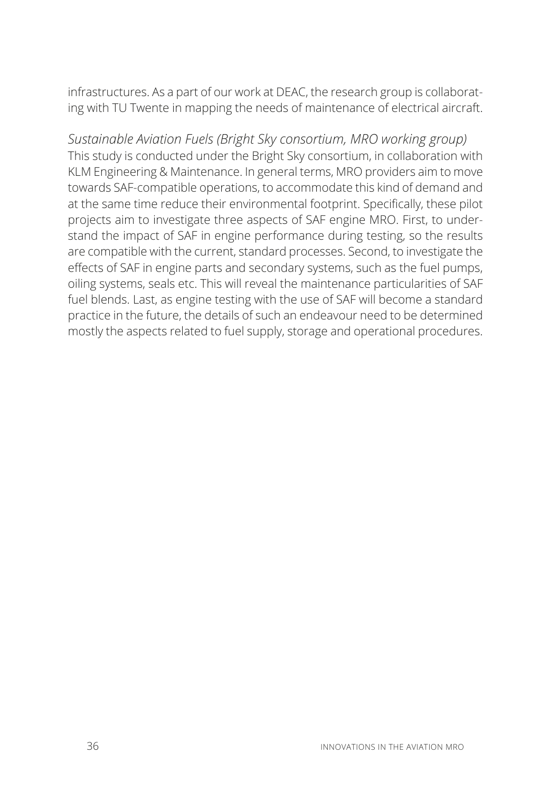infrastructures. As a part of our work at DEAC, the research group is collaborating with TU Twente in mapping the needs of maintenance of electrical aircraft.

*Sustainable Aviation Fuels (Bright Sky consortium, MRO working group)* This study is conducted under the Bright Sky consortium, in collaboration with KLM Engineering & Maintenance. In general terms, MRO providers aim to move towards SAF-compatible operations, to accommodate this kind of demand and at the same time reduce their environmental footprint. Specifically, these pilot projects aim to investigate three aspects of SAF engine MRO. First, to understand the impact of SAF in engine performance during testing, so the results are compatible with the current, standard processes. Second, to investigate the effects of SAF in engine parts and secondary systems, such as the fuel pumps, oiling systems, seals etc. This will reveal the maintenance particularities of SAF fuel blends. Last, as engine testing with the use of SAF will become a standard practice in the future, the details of such an endeavour need to be determined mostly the aspects related to fuel supply, storage and operational procedures.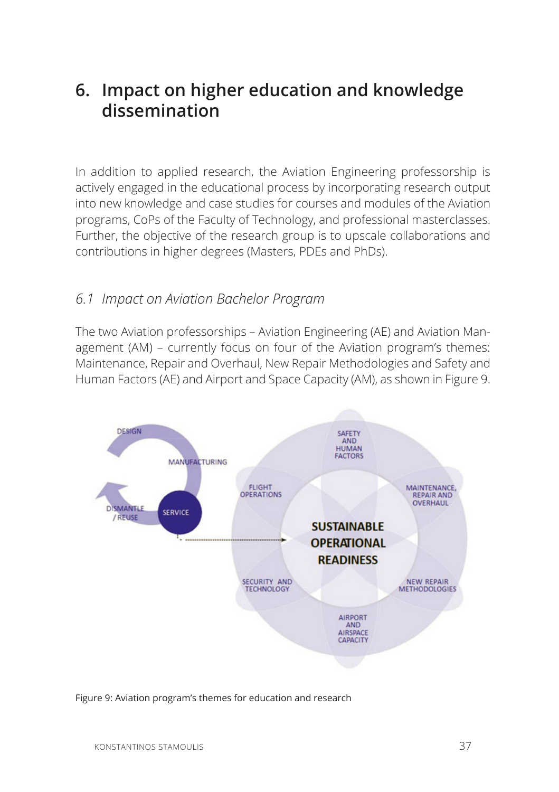# **6. Impact on higher education and knowledge dissemination**

In addition to applied research, the Aviation Engineering professorship is actively engaged in the educational process by incorporating research output into new knowledge and case studies for courses and modules of the Aviation programs, CoPs of the Faculty of Technology, and professional masterclasses. Further, the objective of the research group is to upscale collaborations and contributions in higher degrees (Masters, PDEs and PhDs).

#### *6.1 Impact on Aviation Bachelor Program*

The two Aviation professorships – Aviation Engineering (AE) and Aviation Management (AM) – currently focus on four of the Aviation program's themes: Maintenance, Repair and Overhaul, New Repair Methodologies and Safety and Human Factors (AE) and Airport and Space Capacity (AM), as shown in Figure 9.



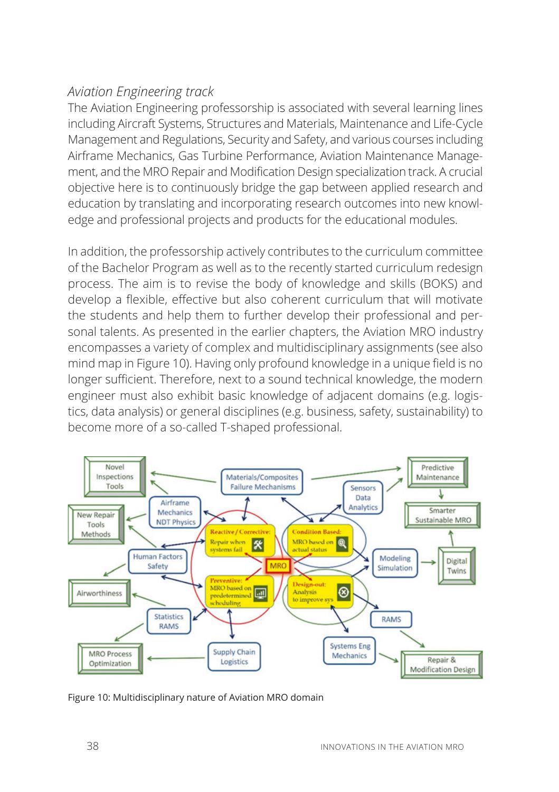#### *Aviation Engineering track*

The Aviation Engineering professorship is associated with several learning lines including Aircraft Systems, Structures and Materials, Maintenance and Life-Cycle Management and Regulations, Security and Safety, and various courses including Airframe Mechanics, Gas Turbine Performance, Aviation Maintenance Management, and the MRO Repair and Modification Design specialization track. A crucial objective here is to continuously bridge the gap between applied research and education by translating and incorporating research outcomes into new knowledge and professional projects and products for the educational modules.

In addition, the professorship actively contributes to the curriculum committee of the Bachelor Program as well as to the recently started curriculum redesign process. The aim is to revise the body of knowledge and skills (BOKS) and develop a flexible, effective but also coherent curriculum that will motivate the students and help them to further develop their professional and personal talents. As presented in the earlier chapters, the Aviation MRO industry encompasses a variety of complex and multidisciplinary assignments (see also mind map in Figure 10). Having only profound knowledge in a unique field is no longer sufficient. Therefore, next to a sound technical knowledge, the modern engineer must also exhibit basic knowledge of adjacent domains (e.g. logistics, data analysis) or general disciplines (e.g. business, safety, sustainability) to become more of a so-called T-shaped professional.



Figure 10: Multidisciplinary nature of Aviation MRO domain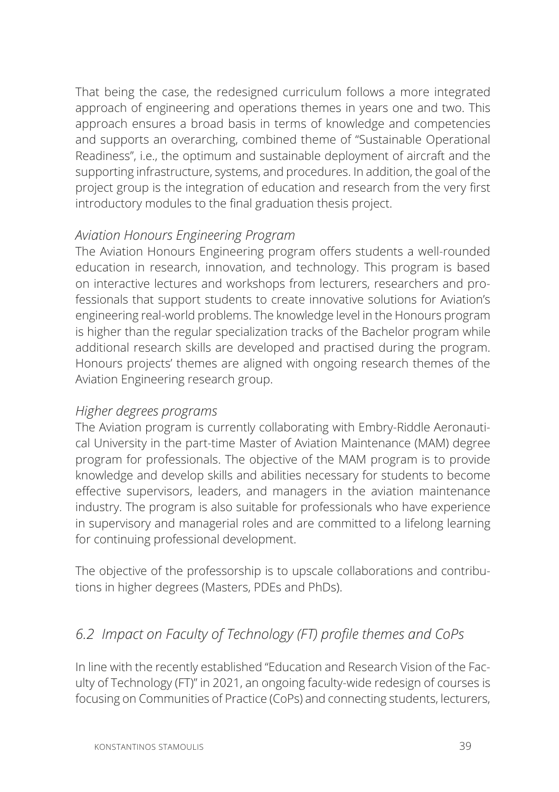That being the case, the redesigned curriculum follows a more integrated approach of engineering and operations themes in years one and two. This approach ensures a broad basis in terms of knowledge and competencies and supports an overarching, combined theme of "Sustainable Operational Readiness", i.e., the optimum and sustainable deployment of aircraft and the supporting infrastructure, systems, and procedures. In addition, the goal of the project group is the integration of education and research from the very first introductory modules to the final graduation thesis project.

#### *Aviation Honours Engineering Program*

The Aviation Honours Engineering program offers students a well-rounded education in research, innovation, and technology. This program is based on interactive lectures and workshops from lecturers, researchers and professionals that support students to create innovative solutions for Aviation's engineering real-world problems. The knowledge level in the Honours program is higher than the regular specialization tracks of the Bachelor program while additional research skills are developed and practised during the program. Honours projects' themes are aligned with ongoing research themes of the Aviation Engineering research group.

#### *Higher degrees programs*

The Aviation program is currently collaborating with Embry-Riddle Aeronautical University in the part-time Master of Aviation Maintenance (MAM) degree program for professionals. The objective of the MAM program is to provide knowledge and develop skills and abilities necessary for students to become effective supervisors, leaders, and managers in the aviation maintenance industry. The program is also suitable for professionals who have experience in supervisory and managerial roles and are committed to a lifelong learning for continuing professional development.

The objective of the professorship is to upscale collaborations and contributions in higher degrees (Masters, PDEs and PhDs).

#### *6.2 Impact on Faculty of Technology (FT) profile themes and CoPs*

In line with the recently established "Education and Research Vision of the Faculty of Technology (FT)" in 2021, an ongoing faculty-wide redesign of courses is focusing on Communities of Practice (CoPs) and connecting students, lecturers,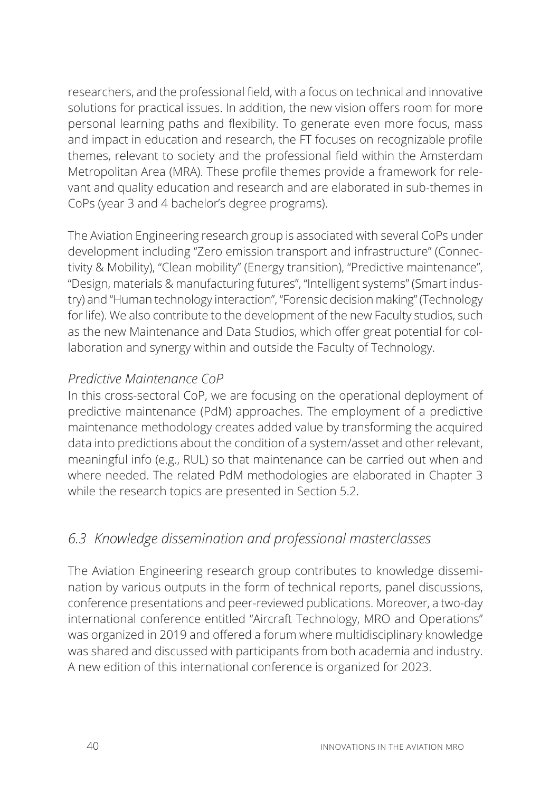researchers, and the professional field, with a focus on technical and innovative solutions for practical issues. In addition, the new vision offers room for more personal learning paths and flexibility. To generate even more focus, mass and impact in education and research, the FT focuses on recognizable profile themes, relevant to society and the professional field within the Amsterdam Metropolitan Area (MRA). These profile themes provide a framework for relevant and quality education and research and are elaborated in sub-themes in CoPs (year 3 and 4 bachelor's degree programs).

The Aviation Engineering research group is associated with several CoPs under development including "Zero emission transport and infrastructure" (Connectivity & Mobility), "Clean mobility" (Energy transition), "Predictive maintenance", "Design, materials & manufacturing futures", "Intelligent systems" (Smart industry) and "Human technology interaction", "Forensic decision making" (Technology for life). We also contribute to the development of the new Faculty studios, such as the new Maintenance and Data Studios, which offer great potential for collaboration and synergy within and outside the Faculty of Technology.

#### *Predictive Maintenance CoP*

In this cross-sectoral CoP, we are focusing on the operational deployment of predictive maintenance (PdM) approaches. The employment of a predictive maintenance methodology creates added value by transforming the acquired data into predictions about the condition of a system/asset and other relevant, meaningful info (e.g., RUL) so that maintenance can be carried out when and where needed. The related PdM methodologies are elaborated in Chapter 3 while the research topics are presented in Section 5.2.

## *6.3 Knowledge dissemination and professional masterclasses*

The Aviation Engineering research group contributes to knowledge dissemination by various outputs in the form of technical reports, panel discussions, conference presentations and peer-reviewed publications. Moreover, a two-day international conference entitled "Aircraft Technology, MRO and Operations" was organized in 2019 and offered a forum where multidisciplinary knowledge was shared and discussed with participants from both academia and industry. A new edition of this international conference is organized for 2023.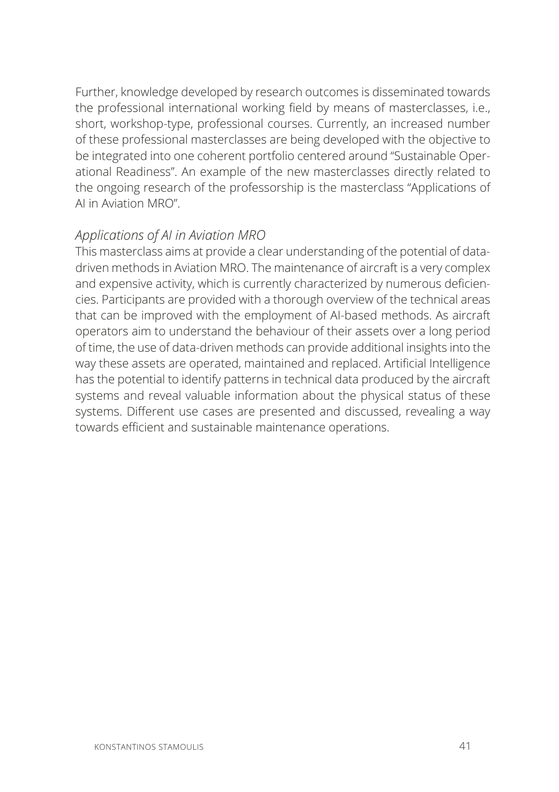Further, knowledge developed by research outcomes is disseminated towards the professional international working field by means of masterclasses, i.e., short, workshop-type, professional courses. Currently, an increased number of these professional masterclasses are being developed with the objective to be integrated into one coherent portfolio centered around "Sustainable Operational Readiness". An example of the new masterclasses directly related to the ongoing research of the professorship is the masterclass "Applications of AI in Aviation MRO".

#### *Applications of AI in Aviation MRO*

This masterclass aims at provide a clear understanding of the potential of datadriven methods in Aviation MRO. The maintenance of aircraft is a very complex and expensive activity, which is currently characterized by numerous deficiencies. Participants are provided with a thorough overview of the technical areas that can be improved with the employment of AI-based methods. As aircraft operators aim to understand the behaviour of their assets over a long period of time, the use of data-driven methods can provide additional insights into the way these assets are operated, maintained and replaced. Artificial Intelligence has the potential to identify patterns in technical data produced by the aircraft systems and reveal valuable information about the physical status of these systems. Different use cases are presented and discussed, revealing a way towards efficient and sustainable maintenance operations.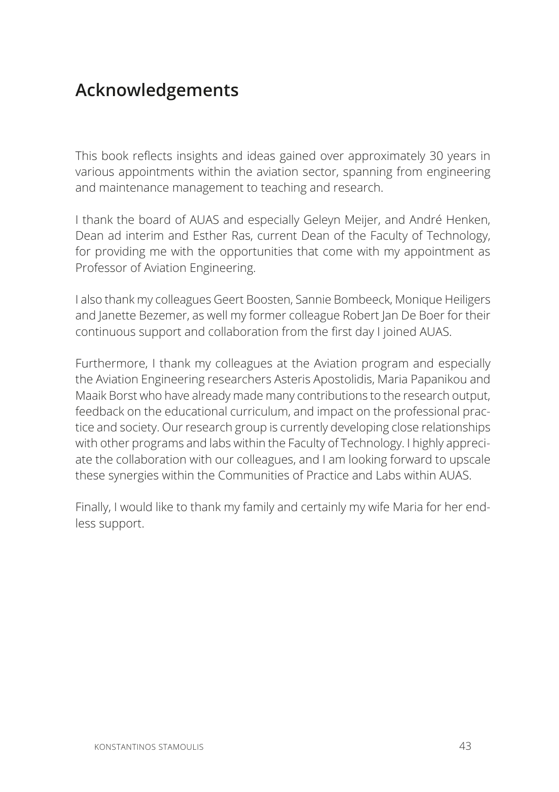# **Acknowledgements**

This book reflects insights and ideas gained over approximately 30 years in various appointments within the aviation sector, spanning from engineering and maintenance management to teaching and research.

I thank the board of AUAS and especially Geleyn Meijer, and André Henken, Dean ad interim and Esther Ras, current Dean of the Faculty of Technology, for providing me with the opportunities that come with my appointment as Professor of Aviation Engineering.

I also thank my colleagues Geert Boosten, Sannie Bombeeck, Monique Heiligers and Janette Bezemer, as well my former colleague Robert Jan De Boer for their continuous support and collaboration from the first day I joined AUAS.

Furthermore, I thank my colleagues at the Aviation program and especially the Aviation Engineering researchers Asteris Apostolidis, Maria Papanikou and Maaik Borst who have already made many contributions to the research output, feedback on the educational curriculum, and impact on the professional practice and society. Our research group is currently developing close relationships with other programs and labs within the Faculty of Technology. I highly appreciate the collaboration with our colleagues, and I am looking forward to upscale these synergies within the Communities of Practice and Labs within AUAS.

Finally, I would like to thank my family and certainly my wife Maria for her endless support.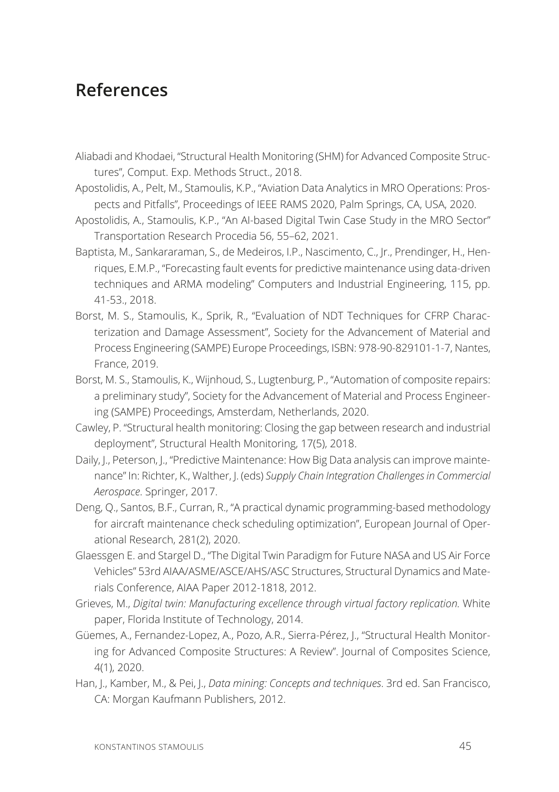# **References**

- Aliabadi and Khodaei, "Structural Health Monitoring (SHM) for Advanced Composite Structures", Comput. Exp. Methods Struct., 2018.
- Apostolidis, A., Pelt, M., Stamoulis, K.P., "Aviation Data Analytics in MRO Operations: Prospects and Pitfalls", Proceedings of IEEE RAMS 2020, Palm Springs, CA, USA, 2020.
- Apostolidis, A., Stamoulis, K.P., "An Al-based Digital Twin Case Study in the MRO Sector" Transportation Research Procedia 56, 55–62, 2021.
- Baptista, M., Sankararaman, S., de Medeiros, I.P., Nascimento, C., Jr., Prendinger, H., Henriques, E.M.P., "Forecasting fault events for predictive maintenance using data-driven techniques and ARMA modeling" Computers and Industrial Engineering, 115, pp. 41-53., 2018.
- Borst, M. S., Stamoulis, K., Sprik, R., "Evaluation of NDT Techniques for CFRP Characterization and Damage Assessment", Society for the Advancement of Material and Process Engineering (SAMPE) Europe Proceedings, ISBN: 978-90-829101-1-7, Nantes, France, 2019.
- Borst, M. S., Stamoulis, K., Wijnhoud, S., Lugtenburg, P., "Automation of composite repairs: a preliminary study", Society for the Advancement of Material and Process Engineering (SAMPE) Proceedings, Amsterdam, Netherlands, 2020.
- Cawley, P. "Structural health monitoring: Closing the gap between research and industrial deployment", Structural Health Monitoring, 17(5), 2018.
- Daily, J., Peterson, J., "Predictive Maintenance: How Big Data analysis can improve maintenance" In: Richter, K., Walther, J. (eds) *Supply Chain Integration Challenges in Commercial Aerospace*. Springer, 2017.
- Deng, Q., Santos, B.F., Curran, R., "A practical dynamic programming-based methodology for aircraft maintenance check scheduling optimization", European Journal of Operational Research, 281(2), 2020.
- Glaessgen E. and Stargel D., "The Digital Twin Paradigm for Future NASA and US Air Force Vehicles" 53rd AIAA/ASME/ASCE/AHS/ASC Structures, Structural Dynamics and Materials Conference, AIAA Paper 2012-1818, 2012.
- Grieves, M., *Digital twin: Manufacturing excellence through virtual factory replication.* White paper, Florida Institute of Technology, 2014.
- Güemes, A., Fernandez-Lopez, A., Pozo, A.R., Sierra-Pérez, J., "Structural Health Monitoring for Advanced Composite Structures: A Review". Journal of Composites Science, 4(1), 2020.
- Han, J., Kamber, M., & Pei, J., *Data mining: Concepts and techniques*. 3rd ed. San Francisco, CA: Morgan Kaufmann Publishers, 2012.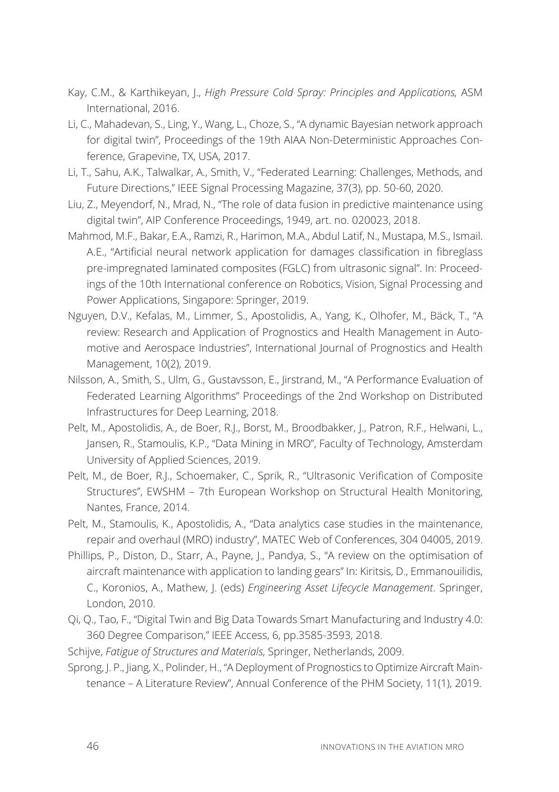- Kay, C.M., & Karthikeyan, J., *High Pressure Cold Spray: Principles and Applications,* ASM International, 2016.
- Li, C., Mahadevan, S., Ling, Y., Wang, L., Choze, S., "A dynamic Bayesian network approach for digital twin", Proceedings of the 19th AIAA Non-Deterministic Approaches Conference, Grapevine, TX, USA, 2017.
- Li, T., Sahu, A.K., Talwalkar, A., Smith, V., "Federated Learning: Challenges, Methods, and Future Directions," IEEE Signal Processing Magazine, 37(3), pp. 50-60, 2020.
- Liu, Z., Meyendorf, N., Mrad, N., "The role of data fusion in predictive maintenance using digital twin", AIP Conference Proceedings, 1949, art. no. 020023, 2018.
- Mahmod, M.F., Bakar, E.A., Ramzi, R., Harimon, M.A., Abdul Latif, N., Mustapa, M.S., Ismail. A.E., "Artificial neural network application for damages classification in fibreglass pre-impregnated laminated composites (FGLC) from ultrasonic signal". In: Proceedings of the 10th International conference on Robotics, Vision, Signal Processing and Power Applications, Singapore: Springer, 2019.
- Nguyen, D.V., Kefalas, M., Limmer, S., Apostolidis, A., Yang, K., Olhofer, M., Bäck, T., "A review: Research and Application of Prognostics and Health Management in Automotive and Aerospace Industries", International Journal of Prognostics and Health Management, 10(2), 2019.
- Nilsson, A., Smith, S., Ulm, G., Gustavsson, E., Jirstrand, M., "A Performance Evaluation of Federated Learning Algorithms" Proceedings of the 2nd Workshop on Distributed Infrastructures for Deep Learning, 2018.
- Pelt, M., Apostolidis, A., de Boer, R.J., Borst, M., Broodbakker, J., Patron, R.F., Helwani, L., Jansen, R., Stamoulis, K.P., "Data Mining in MRO", Faculty of Technology, Amsterdam University of Applied Sciences, 2019.
- Pelt, M., de Boer, R.J., Schoemaker, C., Sprik, R., "Ultrasonic Verification of Composite Structures", EWSHM – 7th European Workshop on Structural Health Monitoring, Nantes, France, 2014.
- Pelt, M., Stamoulis, K., Apostolidis, A., "Data analytics case studies in the maintenance, repair and overhaul (MRO) industry", MATEC Web of Conferences, 304 04005, 2019.
- Phillips, P., Diston, D., Starr, A., Payne, J., Pandya, S., "A review on the optimisation of aircraft maintenance with application to landing gears" In: Kiritsis, D., Emmanouilidis, C., Koronios, A., Mathew, J. (eds) *Engineering Asset Lifecycle Management*. Springer, London, 2010.
- Qi, Q., Tao, F., "Digital Twin and Big Data Towards Smart Manufacturing and Industry 4.0: 360 Degree Comparison," IEEE Access, 6, pp.3585-3593, 2018.
- Schijve, *Fatigue of Structures and Materials*, Springer, Netherlands, 2009.
- Sprong, J. P., Jiang, X., Polinder, H., "A Deployment of Prognostics to Optimize Aircraft Maintenance – A Literature Review", Annual Conference of the PHM Society, 11(1), 2019.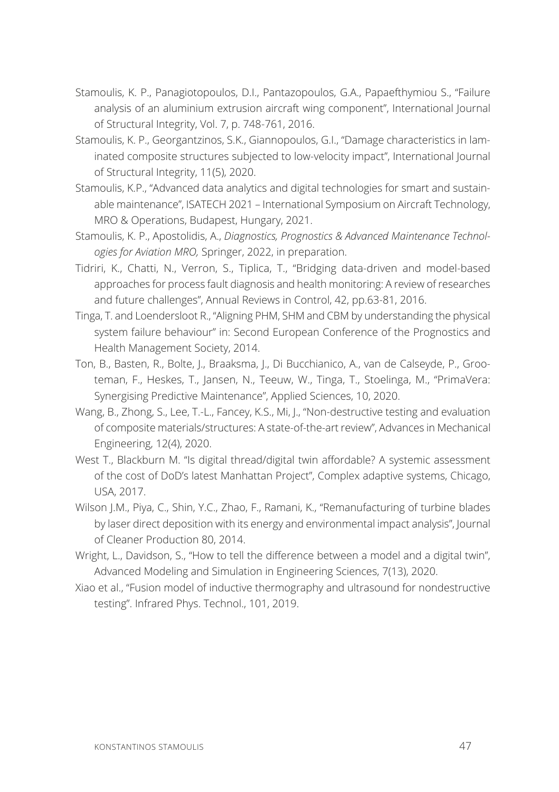- Stamoulis, K. P., Panagiotopoulos, D.I., Pantazopoulos, G.A., Papaefthymiou S., "Failure analysis of an aluminium extrusion aircraft wing component", International Journal of Structural Integrity, Vol. 7, p. 748-761, 2016.
- Stamoulis, K. P., Georgantzinos, S.K., Giannopoulos, G.I., "Damage characteristics in laminated composite structures subjected to low-velocity impact", International Journal of Structural Integrity, 11(5), 2020.
- Stamoulis, K.P., "Advanced data analytics and digital technologies for smart and sustainable maintenance", ISATECH 2021 – International Symposium on Aircraft Technology, MRO & Operations, Budapest, Hungary, 2021.
- Stamoulis, K. P., Apostolidis, A., *Diagnostics, Prognostics & Advanced Maintenance Technologies for Aviation MRO,* Springer, 2022, in preparation.
- Tidriri, K., Chatti, N., Verron, S., Tiplica, T., "Bridging data-driven and model-based approaches for process fault diagnosis and health monitoring: A review of researches and future challenges", Annual Reviews in Control, 42, pp.63-81, 2016.
- Tinga, T. and Loendersloot R., "Aligning PHM, SHM and CBM by understanding the physical system failure behaviour" in: Second European Conference of the Prognostics and Health Management Society, 2014.
- Ton, B., Basten, R., Bolte, J., Braaksma, J., Di Bucchianico, A., van de Calseyde, P., Grooteman, F., Heskes, T., Jansen, N., Teeuw, W., Tinga, T., Stoelinga, M., "PrimaVera: Synergising Predictive Maintenance", Applied Sciences, 10, 2020.
- Wang, B., Zhong, S., Lee, T.-L., Fancey, K.S., Mi, J., "Non-destructive testing and evaluation of composite materials/structures: A state-of-the-art review", Advances in Mechanical Engineering, 12(4), 2020.
- West T., Blackburn M. "Is digital thread/digital twin affordable? A systemic assessment of the cost of DoD's latest Manhattan Project", Complex adaptive systems, Chicago, USA, 2017.
- Wilson J.M., Piya, C., Shin, Y.C., Zhao, F., Ramani, K., "Remanufacturing of turbine blades by laser direct deposition with its energy and environmental impact analysis", Journal of Cleaner Production 80, 2014.
- Wright, L., Davidson, S., "How to tell the difference between a model and a digital twin", Advanced Modeling and Simulation in Engineering Sciences, 7(13), 2020.
- Xiao et al., "Fusion model of inductive thermography and ultrasound for nondestructive testing". Infrared Phys. Technol., 101, 2019.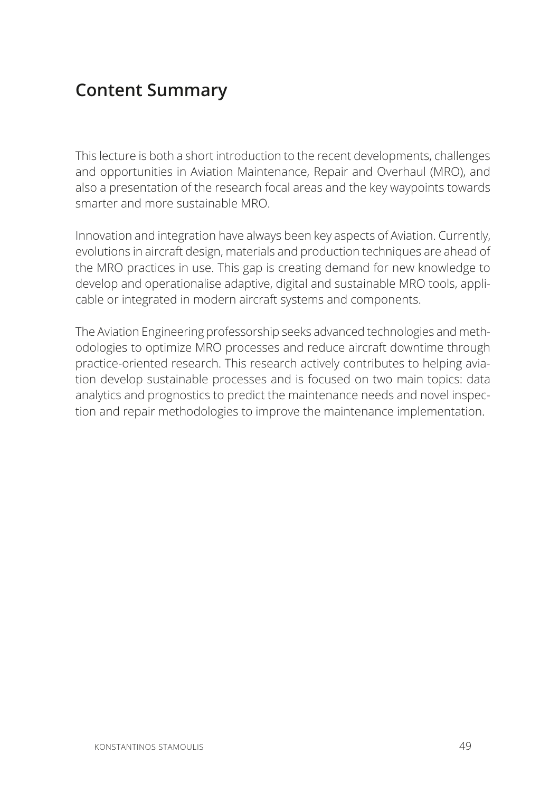# **Content Summary**

This lecture is both a short introduction to the recent developments, challenges and opportunities in Aviation Maintenance, Repair and Overhaul (MRO), and also a presentation of the research focal areas and the key waypoints towards smarter and more sustainable MRO.

Innovation and integration have always been key aspects of Aviation. Currently, evolutions in aircraft design, materials and production techniques are ahead of the MRO practices in use. This gap is creating demand for new knowledge to develop and operationalise adaptive, digital and sustainable MRO tools, applicable or integrated in modern aircraft systems and components.

The Aviation Engineering professorship seeks advanced technologies and methodologies to optimize MRO processes and reduce aircraft downtime through practice-oriented research. This research actively contributes to helping aviation develop sustainable processes and is focused on two main topics: data analytics and prognostics to predict the maintenance needs and novel inspection and repair methodologies to improve the maintenance implementation.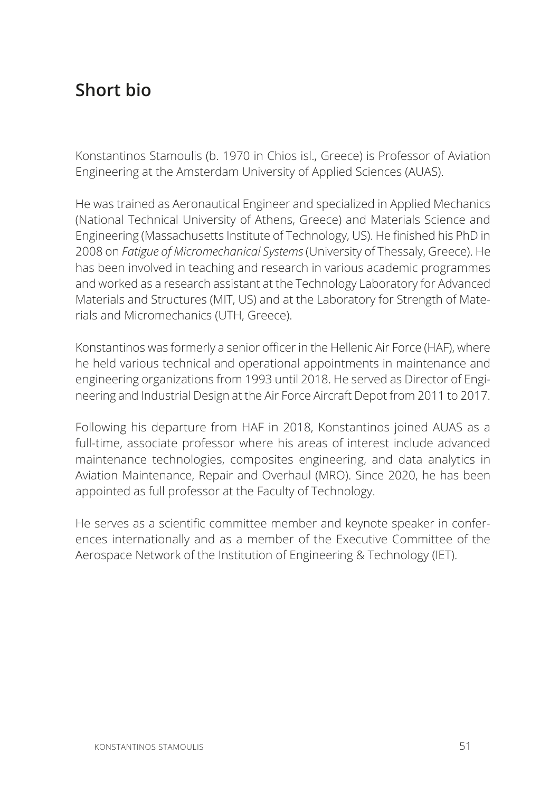# **Short bio**

Konstantinos Stamoulis (b. 1970 in Chios isl., Greece) is Professor of Aviation Engineering at the Amsterdam University of Applied Sciences (AUAS).

He was trained as Aeronautical Engineer and specialized in Applied Mechanics (National Technical University of Athens, Greece) and Materials Science and Engineering (Massachusetts Institute of Technology, US). He finished his PhD in 2008 on *Fatigue of Micromechanical Systems* (University of Thessaly, Greece). He has been involved in teaching and research in various academic programmes and worked as a research assistant at the Technology Laboratory for Advanced Materials and Structures (MIT, US) and at the Laboratory for Strength of Materials and Micromechanics (UTH, Greece).

Konstantinos was formerly a senior officer in the Hellenic Air Force (HAF), where he held various technical and operational appointments in maintenance and engineering organizations from 1993 until 2018. He served as Director of Engineering and Industrial Design at the Air Force Aircraft Depot from 2011 to 2017.

Following his departure from HAF in 2018, Konstantinos joined AUAS as a full-time, associate professor where his areas of interest include advanced maintenance technologies, composites engineering, and data analytics in Aviation Maintenance, Repair and Overhaul (MRO). Since 2020, he has been appointed as full professor at the Faculty of Technology.

He serves as a scientific committee member and keynote speaker in conferences internationally and as a member of the Executive Committee of the Aerospace Network of the Institution of Engineering & Technology (IET).